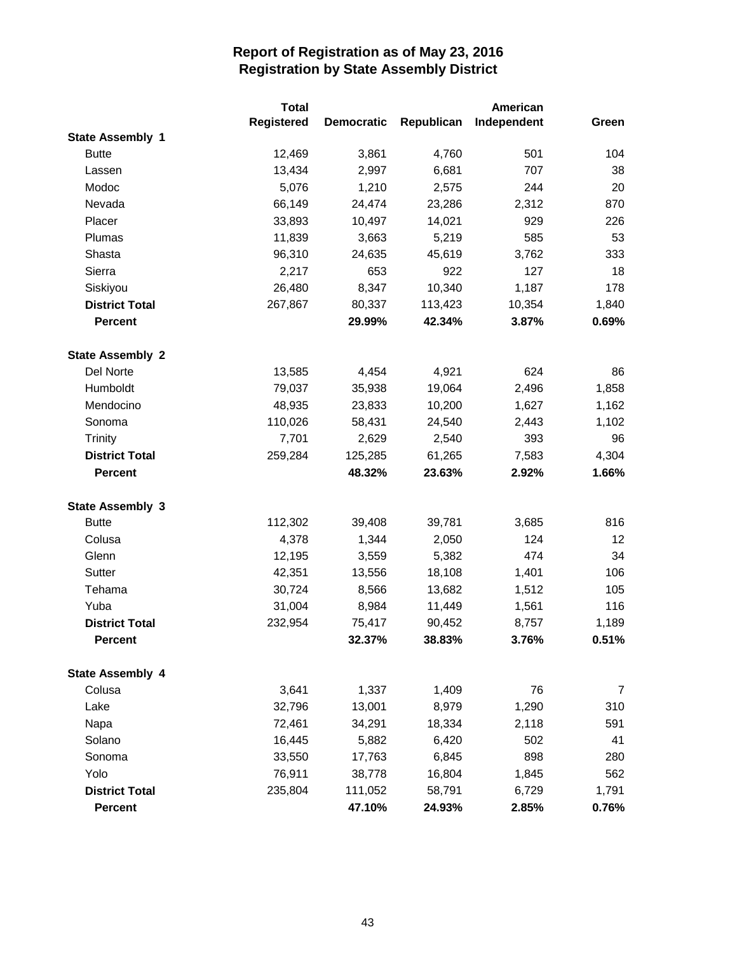|                         | <b>Total</b>      |                   | American   |             |       |
|-------------------------|-------------------|-------------------|------------|-------------|-------|
|                         | <b>Registered</b> | <b>Democratic</b> | Republican | Independent | Green |
| <b>State Assembly 1</b> |                   |                   |            |             |       |
| <b>Butte</b>            | 12,469            | 3,861             | 4,760      | 501         | 104   |
| Lassen                  | 13,434            | 2,997             | 6,681      | 707         | 38    |
| Modoc                   | 5,076             | 1,210             | 2,575      | 244         | 20    |
| Nevada                  | 66,149            | 24,474            | 23,286     | 2,312       | 870   |
| Placer                  | 33,893            | 10,497            | 14,021     | 929         | 226   |
| Plumas                  | 11,839            | 3,663             | 5,219      | 585         | 53    |
| Shasta                  | 96,310            | 24,635            | 45,619     | 3,762       | 333   |
| Sierra                  | 2,217             | 653               | 922        | 127         | 18    |
| Siskiyou                | 26,480            | 8,347             | 10,340     | 1,187       | 178   |
| <b>District Total</b>   | 267,867           | 80,337            | 113,423    | 10,354      | 1,840 |
| <b>Percent</b>          |                   | 29.99%            | 42.34%     | 3.87%       | 0.69% |
| <b>State Assembly 2</b> |                   |                   |            |             |       |
| Del Norte               | 13,585            | 4,454             | 4,921      | 624         | 86    |
| Humboldt                | 79,037            | 35,938            | 19,064     | 2,496       | 1,858 |
| Mendocino               | 48,935            | 23,833            | 10,200     | 1,627       | 1,162 |
| Sonoma                  | 110,026           | 58,431            | 24,540     | 2,443       | 1,102 |
| <b>Trinity</b>          | 7,701             | 2,629             | 2,540      | 393         | 96    |
| <b>District Total</b>   | 259,284           | 125,285           | 61,265     | 7,583       | 4,304 |
| <b>Percent</b>          |                   | 48.32%            | 23.63%     | 2.92%       | 1.66% |
| <b>State Assembly 3</b> |                   |                   |            |             |       |
| <b>Butte</b>            | 112,302           | 39,408            | 39,781     | 3,685       | 816   |
| Colusa                  | 4,378             | 1,344             | 2,050      | 124         | 12    |
| Glenn                   | 12,195            | 3,559             | 5,382      | 474         | 34    |
| Sutter                  | 42,351            | 13,556            | 18,108     | 1,401       | 106   |
| Tehama                  | 30,724            | 8,566             | 13,682     | 1,512       | 105   |
| Yuba                    | 31,004            | 8,984             | 11,449     | 1,561       | 116   |
| <b>District Total</b>   | 232,954           | 75,417            | 90,452     | 8,757       | 1,189 |
| Percent                 |                   | 32.37%            | 38.83%     | 3.76%       | 0.51% |
| <b>State Assembly 4</b> |                   |                   |            |             |       |
| Colusa                  | 3,641             | 1,337             | 1,409      | 76          | 7     |
| Lake                    | 32,796            | 13,001            | 8,979      | 1,290       | 310   |
| Napa                    | 72,461            | 34,291            | 18,334     | 2,118       | 591   |
| Solano                  | 16,445            | 5,882             | 6,420      | 502         | 41    |
| Sonoma                  | 33,550            | 17,763            | 6,845      | 898         | 280   |
| Yolo                    | 76,911            | 38,778            | 16,804     | 1,845       | 562   |
| <b>District Total</b>   | 235,804           | 111,052           | 58,791     | 6,729       | 1,791 |
| Percent                 |                   | 47.10%            | 24.93%     | 2.85%       | 0.76% |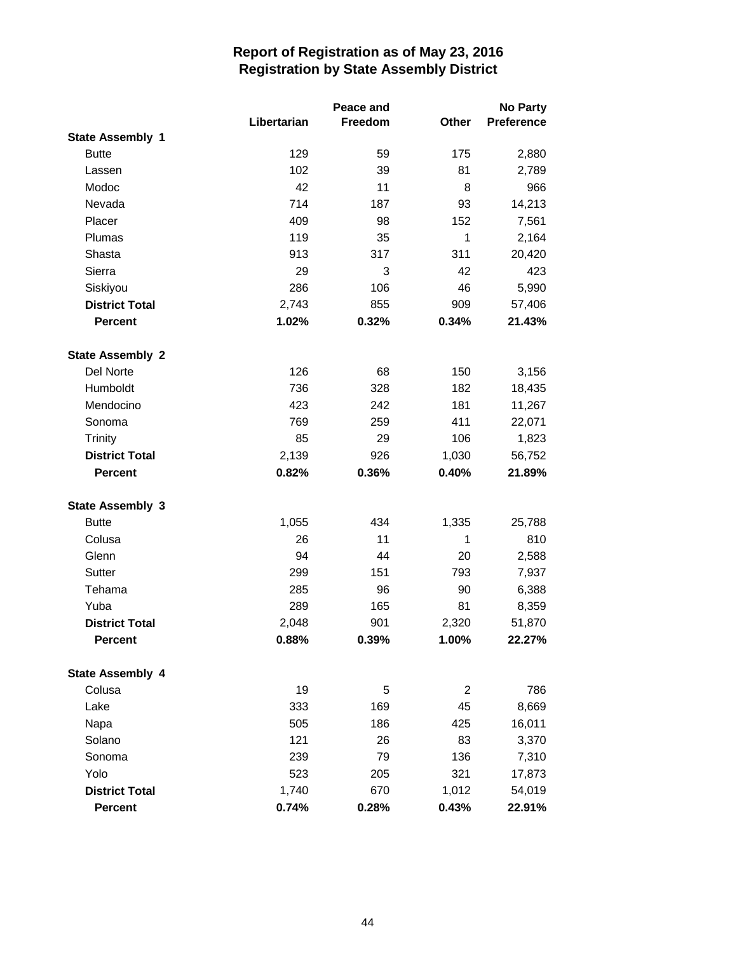|                         |             | Peace and | <b>No Party</b> |            |  |
|-------------------------|-------------|-----------|-----------------|------------|--|
|                         | Libertarian | Freedom   | Other           | Preference |  |
| <b>State Assembly 1</b> |             |           |                 |            |  |
| <b>Butte</b>            | 129         | 59        | 175             | 2,880      |  |
| Lassen                  | 102         | 39        | 81              | 2,789      |  |
| Modoc                   | 42          | 11        | 8               | 966        |  |
| Nevada                  | 714         | 187       | 93              | 14,213     |  |
| Placer                  | 409         | 98        | 152             | 7,561      |  |
| Plumas                  | 119         | 35        | 1               | 2,164      |  |
| Shasta                  | 913         | 317       | 311             | 20,420     |  |
| Sierra                  | 29          | 3         | 42              | 423        |  |
| Siskiyou                | 286         | 106       | 46              | 5,990      |  |
| <b>District Total</b>   | 2,743       | 855       | 909             | 57,406     |  |
| <b>Percent</b>          | 1.02%       | 0.32%     | 0.34%           | 21.43%     |  |
| <b>State Assembly 2</b> |             |           |                 |            |  |
| Del Norte               | 126         | 68        | 150             | 3,156      |  |
| Humboldt                | 736         | 328       | 182             | 18,435     |  |
| Mendocino               | 423         | 242       | 181             | 11,267     |  |
| Sonoma                  | 769         | 259       | 411             | 22,071     |  |
| <b>Trinity</b>          | 85          | 29        | 106             | 1,823      |  |
| <b>District Total</b>   | 2,139       | 926       | 1,030           | 56,752     |  |
| <b>Percent</b>          | 0.82%       | 0.36%     | 0.40%           | 21.89%     |  |
| <b>State Assembly 3</b> |             |           |                 |            |  |
| <b>Butte</b>            | 1,055       | 434       | 1,335           | 25,788     |  |
| Colusa                  | 26          | 11        | 1               | 810        |  |
| Glenn                   | 94          | 44        | 20              | 2,588      |  |
| <b>Sutter</b>           | 299         | 151       | 793             | 7,937      |  |
| Tehama                  | 285         | 96        | 90              | 6,388      |  |
| Yuba                    | 289         | 165       | 81              | 8,359      |  |
| <b>District Total</b>   | 2,048       | 901       | 2,320           | 51,870     |  |
| <b>Percent</b>          | 0.88%       | 0.39%     | 1.00%           | 22.27%     |  |
|                         |             |           |                 |            |  |
| <b>State Assembly 4</b> |             |           |                 |            |  |
| Colusa                  | 19          | 5         | $\overline{2}$  | 786        |  |
| Lake                    | 333         | 169       | 45              | 8,669      |  |
| Napa                    | 505         | 186       | 425             | 16,011     |  |
| Solano                  | 121         | 26        | 83              | 3,370      |  |
| Sonoma                  | 239         | 79        | 136             | 7,310      |  |
| Yolo                    | 523         | 205       | 321             | 17,873     |  |
| <b>District Total</b>   | 1,740       | 670       | 1,012           | 54,019     |  |
| Percent                 | 0.74%       | 0.28%     | 0.43%           | 22.91%     |  |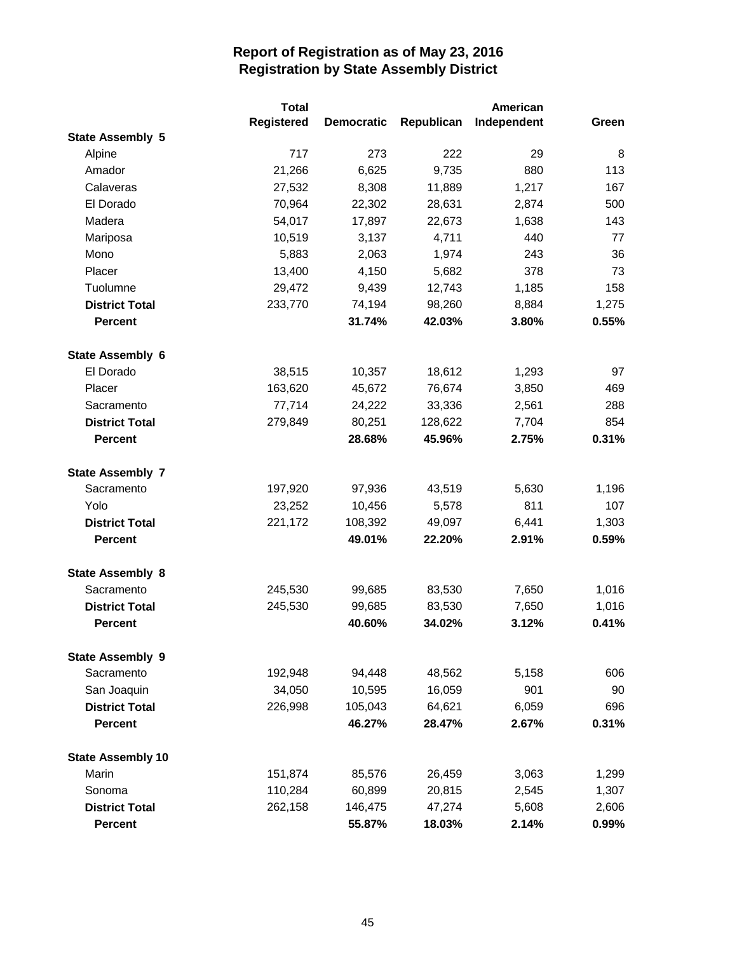|                          | <b>Total</b>      |                   |            | American    |       |
|--------------------------|-------------------|-------------------|------------|-------------|-------|
|                          | <b>Registered</b> | <b>Democratic</b> | Republican | Independent | Green |
| <b>State Assembly 5</b>  |                   |                   |            |             |       |
| Alpine                   | 717               | 273               | 222        | 29          | 8     |
| Amador                   | 21,266            | 6,625             | 9,735      | 880         | 113   |
| Calaveras                | 27,532            | 8,308             | 11,889     | 1,217       | 167   |
| El Dorado                | 70,964            | 22,302            | 28,631     | 2,874       | 500   |
| Madera                   | 54,017            | 17,897            | 22,673     | 1,638       | 143   |
| Mariposa                 | 10,519            | 3,137             | 4,711      | 440         | 77    |
| Mono                     | 5,883             | 2,063             | 1,974      | 243         | 36    |
| Placer                   | 13,400            | 4,150             | 5,682      | 378         | 73    |
| Tuolumne                 | 29,472            | 9,439             | 12,743     | 1,185       | 158   |
| <b>District Total</b>    | 233,770           | 74,194            | 98,260     | 8,884       | 1,275 |
| <b>Percent</b>           |                   | 31.74%            | 42.03%     | 3.80%       | 0.55% |
| <b>State Assembly 6</b>  |                   |                   |            |             |       |
| El Dorado                | 38,515            | 10,357            | 18,612     | 1,293       | 97    |
| Placer                   | 163,620           | 45,672            | 76,674     | 3,850       | 469   |
| Sacramento               | 77,714            | 24,222            | 33,336     | 2,561       | 288   |
| <b>District Total</b>    | 279,849           | 80,251            | 128,622    | 7,704       | 854   |
| <b>Percent</b>           |                   | 28.68%            | 45.96%     | 2.75%       | 0.31% |
| <b>State Assembly 7</b>  |                   |                   |            |             |       |
| Sacramento               | 197,920           | 97,936            | 43,519     | 5,630       | 1,196 |
| Yolo                     | 23,252            | 10,456            | 5,578      | 811         | 107   |
| <b>District Total</b>    | 221,172           | 108,392           | 49,097     | 6,441       | 1,303 |
| <b>Percent</b>           |                   | 49.01%            | 22.20%     | 2.91%       | 0.59% |
| <b>State Assembly 8</b>  |                   |                   |            |             |       |
| Sacramento               | 245,530           | 99,685            | 83,530     | 7,650       | 1,016 |
| <b>District Total</b>    | 245,530           | 99,685            | 83,530     | 7,650       | 1,016 |
| <b>Percent</b>           |                   | 40.60%            | 34.02%     | 3.12%       | 0.41% |
| <b>State Assembly 9</b>  |                   |                   |            |             |       |
| Sacramento               | 192,948           | 94,448            | 48,562     | 5,158       | 606   |
| San Joaquin              | 34,050            | 10,595            | 16,059     | 901         | 90    |
| <b>District Total</b>    | 226,998           | 105,043           | 64,621     | 6,059       | 696   |
| <b>Percent</b>           |                   | 46.27%            | 28.47%     | 2.67%       | 0.31% |
| <b>State Assembly 10</b> |                   |                   |            |             |       |
| Marin                    | 151,874           | 85,576            | 26,459     | 3,063       | 1,299 |
| Sonoma                   | 110,284           | 60,899            | 20,815     | 2,545       | 1,307 |
| <b>District Total</b>    | 262,158           | 146,475           | 47,274     | 5,608       | 2,606 |
| <b>Percent</b>           |                   | 55.87%            | 18.03%     | 2.14%       | 0.99% |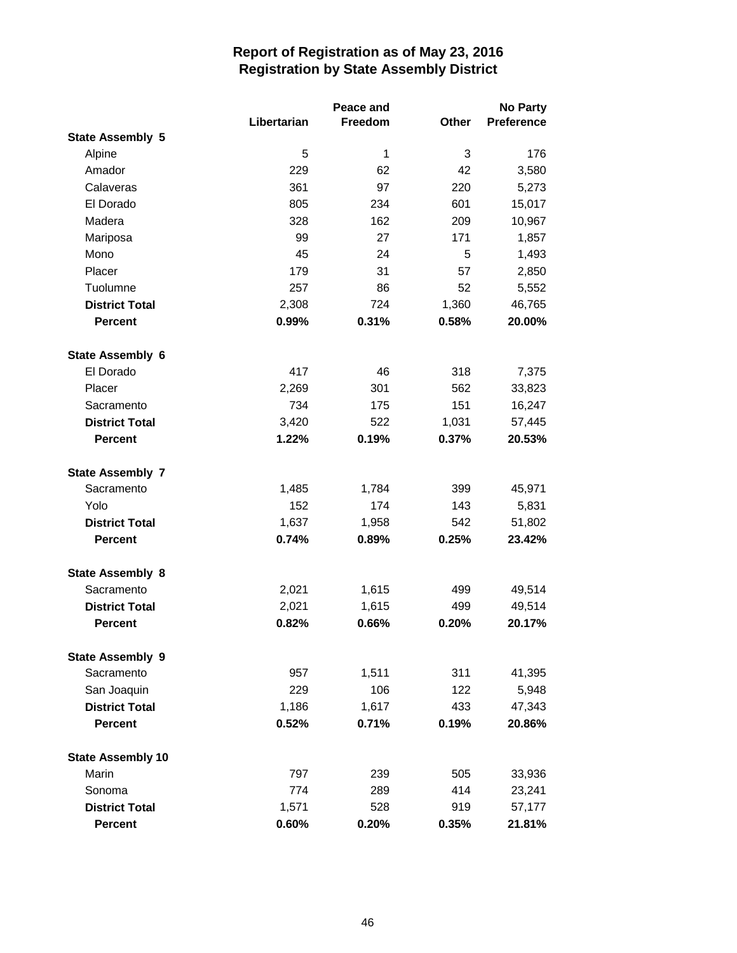|                          |             | Peace and    | <b>No Party</b> |            |  |
|--------------------------|-------------|--------------|-----------------|------------|--|
|                          | Libertarian | Freedom      | Other           | Preference |  |
| <b>State Assembly 5</b>  |             |              |                 |            |  |
| Alpine                   | 5           | $\mathbf{1}$ | 3               | 176        |  |
| Amador                   | 229         | 62           | 42              | 3,580      |  |
| Calaveras                | 361         | 97           | 220             | 5,273      |  |
| El Dorado                | 805         | 234          | 601             | 15,017     |  |
| Madera                   | 328         | 162          | 209             | 10,967     |  |
| Mariposa                 | 99          | 27           | 171             | 1,857      |  |
| Mono                     | 45          | 24           | 5               | 1,493      |  |
| Placer                   | 179         | 31           | 57              | 2,850      |  |
| Tuolumne                 | 257         | 86           | 52              | 5,552      |  |
| <b>District Total</b>    | 2,308       | 724          | 1,360           | 46,765     |  |
| <b>Percent</b>           | 0.99%       | 0.31%        | 0.58%           | 20.00%     |  |
| <b>State Assembly 6</b>  |             |              |                 |            |  |
| El Dorado                | 417         | 46           | 318             | 7,375      |  |
| Placer                   | 2,269       | 301          | 562             | 33,823     |  |
| Sacramento               | 734         | 175          | 151             | 16,247     |  |
| <b>District Total</b>    | 3,420       | 522          | 1,031           | 57,445     |  |
| <b>Percent</b>           | 1.22%       | 0.19%        | 0.37%           | 20.53%     |  |
| <b>State Assembly 7</b>  |             |              |                 |            |  |
| Sacramento               | 1,485       | 1,784        | 399             | 45,971     |  |
| Yolo                     | 152         | 174          | 143             | 5,831      |  |
| <b>District Total</b>    | 1,637       | 1,958        | 542             | 51,802     |  |
| <b>Percent</b>           | 0.74%       | 0.89%        | 0.25%           | 23.42%     |  |
| <b>State Assembly 8</b>  |             |              |                 |            |  |
| Sacramento               | 2,021       | 1,615        | 499             | 49,514     |  |
| <b>District Total</b>    | 2,021       | 1,615        | 499             | 49,514     |  |
| <b>Percent</b>           | 0.82%       | 0.66%        | 0.20%           | 20.17%     |  |
| <b>State Assembly 9</b>  |             |              |                 |            |  |
| Sacramento               | 957         | 1,511        | 311             | 41,395     |  |
| San Joaquin              | 229         | 106          | 122             | 5,948      |  |
| <b>District Total</b>    | 1,186       | 1,617        | 433             | 47,343     |  |
| <b>Percent</b>           | 0.52%       | 0.71%        | 0.19%           | 20.86%     |  |
| <b>State Assembly 10</b> |             |              |                 |            |  |
| Marin                    | 797         | 239          | 505             | 33,936     |  |
| Sonoma                   | 774         | 289          | 414             | 23,241     |  |
| <b>District Total</b>    | 1,571       | 528          | 919             | 57,177     |  |
| <b>Percent</b>           | 0.60%       | 0.20%        | 0.35%           | 21.81%     |  |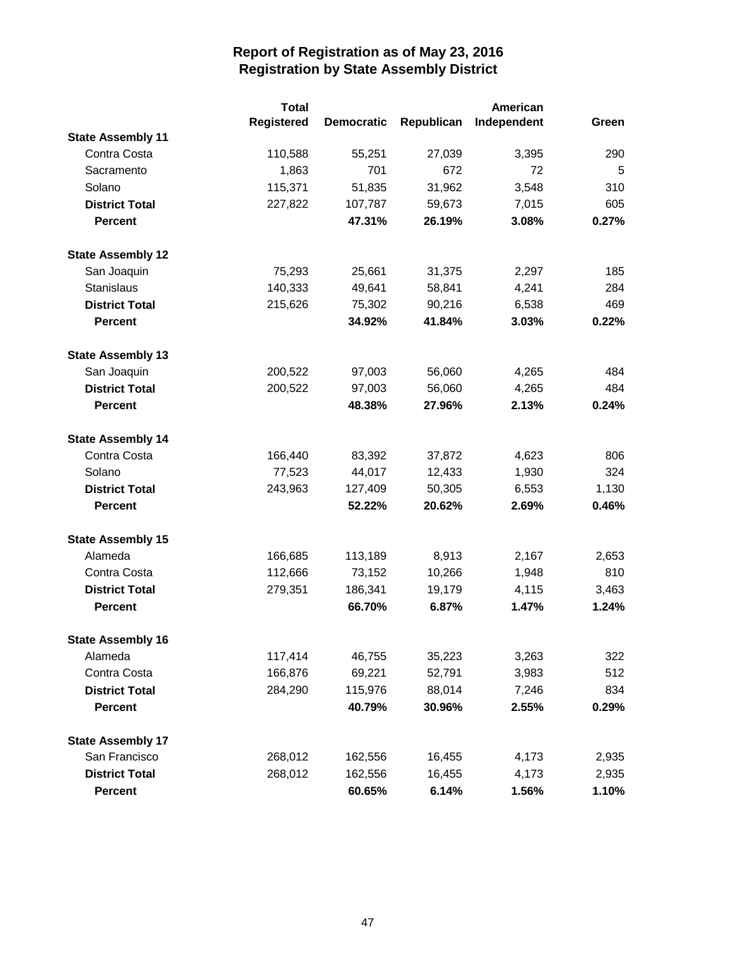|                          | <b>Total</b> |                   | American   |             |       |
|--------------------------|--------------|-------------------|------------|-------------|-------|
|                          | Registered   | <b>Democratic</b> | Republican | Independent | Green |
| <b>State Assembly 11</b> |              |                   |            |             |       |
| Contra Costa             | 110,588      | 55,251            | 27,039     | 3,395       | 290   |
| Sacramento               | 1,863        | 701               | 672        | 72          | 5     |
| Solano                   | 115,371      | 51,835            | 31,962     | 3,548       | 310   |
| <b>District Total</b>    | 227,822      | 107,787           | 59,673     | 7,015       | 605   |
| <b>Percent</b>           |              | 47.31%            | 26.19%     | 3.08%       | 0.27% |
| <b>State Assembly 12</b> |              |                   |            |             |       |
| San Joaquin              | 75,293       | 25,661            | 31,375     | 2,297       | 185   |
| <b>Stanislaus</b>        | 140,333      | 49,641            | 58,841     | 4,241       | 284   |
| <b>District Total</b>    | 215,626      | 75,302            | 90,216     | 6,538       | 469   |
| <b>Percent</b>           |              | 34.92%            | 41.84%     | 3.03%       | 0.22% |
| <b>State Assembly 13</b> |              |                   |            |             |       |
| San Joaquin              | 200,522      | 97,003            | 56,060     | 4,265       | 484   |
| <b>District Total</b>    | 200,522      | 97,003            | 56,060     | 4,265       | 484   |
| <b>Percent</b>           |              | 48.38%            | 27.96%     | 2.13%       | 0.24% |
| <b>State Assembly 14</b> |              |                   |            |             |       |
| Contra Costa             | 166,440      | 83,392            | 37,872     | 4,623       | 806   |
| Solano                   | 77,523       | 44,017            | 12,433     | 1,930       | 324   |
| <b>District Total</b>    | 243,963      | 127,409           | 50,305     | 6,553       | 1,130 |
| <b>Percent</b>           |              | 52.22%            | 20.62%     | 2.69%       | 0.46% |
| <b>State Assembly 15</b> |              |                   |            |             |       |
| Alameda                  | 166,685      | 113,189           | 8,913      | 2,167       | 2,653 |
| Contra Costa             | 112,666      | 73,152            | 10,266     | 1,948       | 810   |
| <b>District Total</b>    | 279,351      | 186,341           | 19,179     | 4,115       | 3,463 |
| <b>Percent</b>           |              | 66.70%            | 6.87%      | 1.47%       | 1.24% |
| <b>State Assembly 16</b> |              |                   |            |             |       |
| Alameda                  | 117,414      | 46,755            | 35,223     | 3,263       | 322   |
| Contra Costa             | 166,876      | 69,221            | 52,791     | 3,983       | 512   |
| <b>District Total</b>    | 284,290      | 115,976           | 88,014     | 7,246       | 834   |
| <b>Percent</b>           |              | 40.79%            | 30.96%     | 2.55%       | 0.29% |
| <b>State Assembly 17</b> |              |                   |            |             |       |
| San Francisco            | 268,012      | 162,556           | 16,455     | 4,173       | 2,935 |
| <b>District Total</b>    | 268,012      | 162,556           | 16,455     | 4,173       | 2,935 |
| <b>Percent</b>           |              | 60.65%            | 6.14%      | 1.56%       | 1.10% |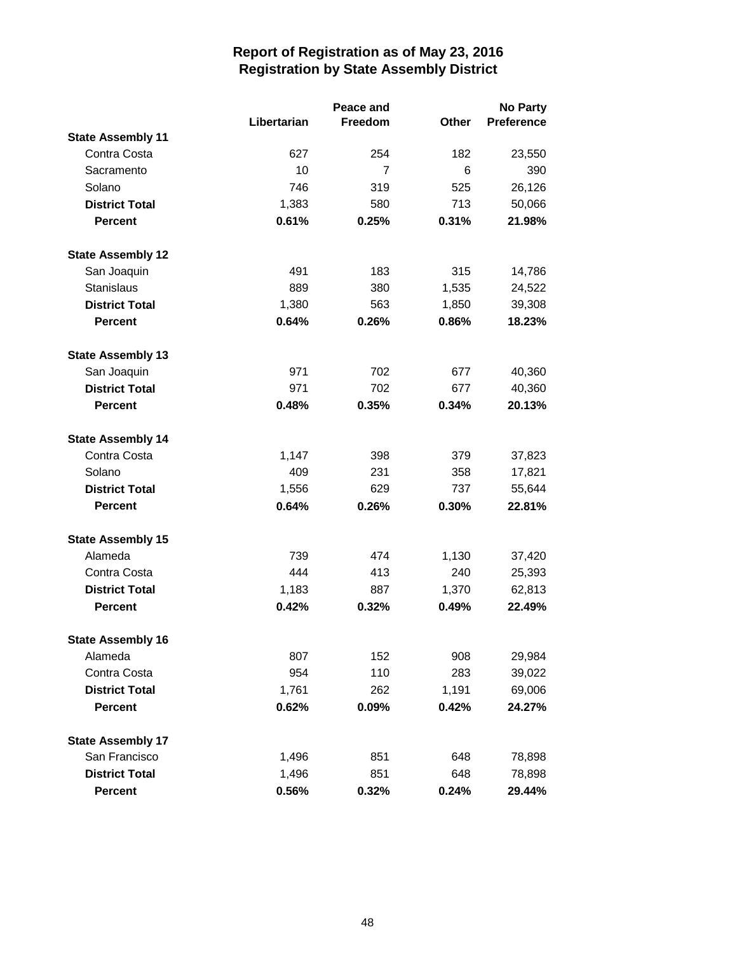|                          |             | Peace and |              | <b>No Party</b>   |  |
|--------------------------|-------------|-----------|--------------|-------------------|--|
|                          | Libertarian | Freedom   | <b>Other</b> | <b>Preference</b> |  |
| <b>State Assembly 11</b> |             |           |              |                   |  |
| Contra Costa             | 627         | 254       | 182          | 23,550            |  |
| Sacramento               | 10          | 7         | 6            | 390               |  |
| Solano                   | 746         | 319       | 525          | 26,126            |  |
| <b>District Total</b>    | 1,383       | 580       | 713          | 50,066            |  |
| <b>Percent</b>           | 0.61%       | 0.25%     | 0.31%        | 21.98%            |  |
| <b>State Assembly 12</b> |             |           |              |                   |  |
| San Joaquin              | 491         | 183       | 315          | 14,786            |  |
| <b>Stanislaus</b>        | 889         | 380       | 1,535        | 24,522            |  |
| <b>District Total</b>    | 1,380       | 563       | 1,850        | 39,308            |  |
| <b>Percent</b>           | 0.64%       | 0.26%     | 0.86%        | 18.23%            |  |
| <b>State Assembly 13</b> |             |           |              |                   |  |
| San Joaquin              | 971         | 702       | 677          | 40,360            |  |
| <b>District Total</b>    | 971         | 702       | 677          | 40,360            |  |
| <b>Percent</b>           | 0.48%       | 0.35%     | 0.34%        | 20.13%            |  |
| <b>State Assembly 14</b> |             |           |              |                   |  |
| Contra Costa             | 1,147       | 398       | 379          | 37,823            |  |
| Solano                   | 409         | 231       | 358          | 17,821            |  |
| <b>District Total</b>    | 1,556       | 629       | 737          | 55,644            |  |
| <b>Percent</b>           | 0.64%       | 0.26%     | 0.30%        | 22.81%            |  |
| <b>State Assembly 15</b> |             |           |              |                   |  |
| Alameda                  | 739         | 474       | 1,130        | 37,420            |  |
| Contra Costa             | 444         | 413       | 240          | 25,393            |  |
| <b>District Total</b>    | 1,183       | 887       | 1,370        | 62,813            |  |
| <b>Percent</b>           | 0.42%       | 0.32%     | 0.49%        | 22.49%            |  |
| <b>State Assembly 16</b> |             |           |              |                   |  |
| Alameda                  | 807         | 152       | 908          | 29,984            |  |
| Contra Costa             | 954         | 110       | 283          | 39,022            |  |
| <b>District Total</b>    | 1,761       | 262       | 1,191        | 69,006            |  |
| <b>Percent</b>           | 0.62%       | 0.09%     | 0.42%        | 24.27%            |  |
| <b>State Assembly 17</b> |             |           |              |                   |  |
| San Francisco            | 1,496       | 851       | 648          | 78,898            |  |
| <b>District Total</b>    | 1,496       | 851       | 648          | 78,898            |  |
| <b>Percent</b>           | 0.56%       | 0.32%     | 0.24%        | 29.44%            |  |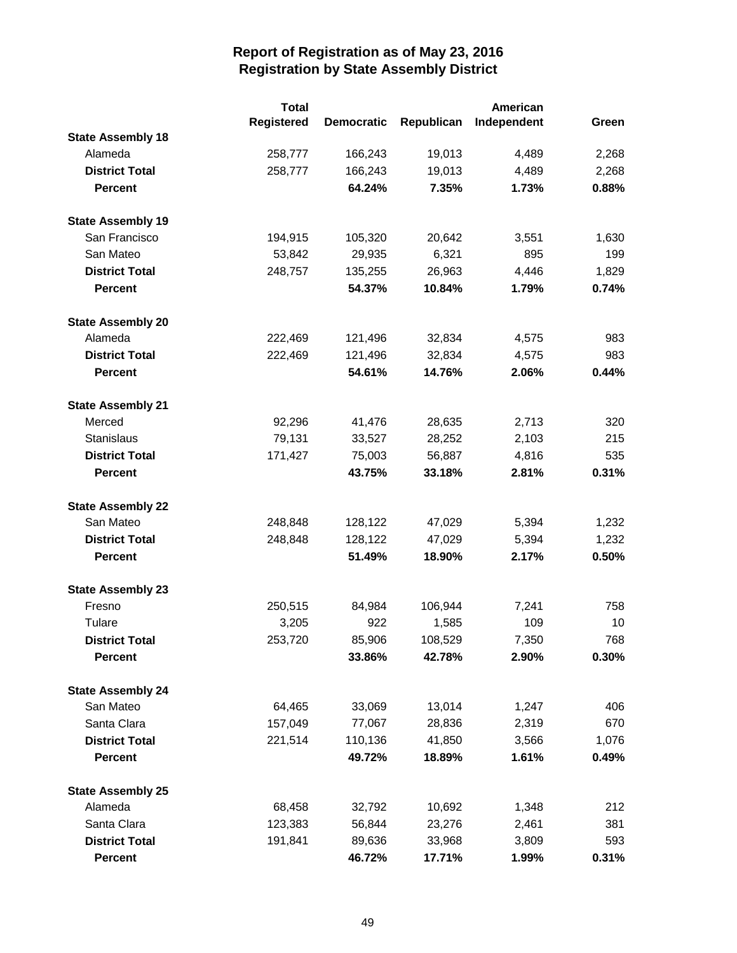|                          | <b>Total</b>      |                   |            | American    |       |
|--------------------------|-------------------|-------------------|------------|-------------|-------|
|                          | <b>Registered</b> | <b>Democratic</b> | Republican | Independent | Green |
| <b>State Assembly 18</b> |                   |                   |            |             |       |
| Alameda                  | 258,777           | 166,243           | 19,013     | 4,489       | 2,268 |
| <b>District Total</b>    | 258,777           | 166,243           | 19,013     | 4,489       | 2,268 |
| <b>Percent</b>           |                   | 64.24%            | 7.35%      | 1.73%       | 0.88% |
| <b>State Assembly 19</b> |                   |                   |            |             |       |
| San Francisco            | 194,915           | 105,320           | 20,642     | 3,551       | 1,630 |
| San Mateo                | 53,842            | 29,935            | 6,321      | 895         | 199   |
| <b>District Total</b>    | 248,757           | 135,255           | 26,963     | 4,446       | 1,829 |
| <b>Percent</b>           |                   | 54.37%            | 10.84%     | 1.79%       | 0.74% |
| <b>State Assembly 20</b> |                   |                   |            |             |       |
| Alameda                  | 222,469           | 121,496           | 32,834     | 4,575       | 983   |
| <b>District Total</b>    | 222,469           | 121,496           | 32,834     | 4,575       | 983   |
| <b>Percent</b>           |                   | 54.61%            | 14.76%     | 2.06%       | 0.44% |
| <b>State Assembly 21</b> |                   |                   |            |             |       |
| Merced                   | 92,296            | 41,476            | 28,635     | 2,713       | 320   |
| Stanislaus               | 79,131            | 33,527            | 28,252     | 2,103       | 215   |
| <b>District Total</b>    | 171,427           | 75,003            | 56,887     | 4,816       | 535   |
| <b>Percent</b>           |                   | 43.75%            | 33.18%     | 2.81%       | 0.31% |
| <b>State Assembly 22</b> |                   |                   |            |             |       |
| San Mateo                | 248,848           | 128,122           | 47,029     | 5,394       | 1,232 |
| <b>District Total</b>    | 248,848           | 128,122           | 47,029     | 5,394       | 1,232 |
| <b>Percent</b>           |                   | 51.49%            | 18.90%     | 2.17%       | 0.50% |
| <b>State Assembly 23</b> |                   |                   |            |             |       |
| Fresno                   | 250,515           | 84,984            | 106,944    | 7,241       | 758   |
| Tulare                   | 3,205             | 922               | 1,585      | 109         | 10    |
| <b>District Total</b>    | 253,720           | 85,906            | 108,529    | 7,350       | 768   |
| <b>Percent</b>           |                   | 33.86%            | 42.78%     | 2.90%       | 0.30% |
| <b>State Assembly 24</b> |                   |                   |            |             |       |
| San Mateo                | 64,465            | 33,069            | 13,014     | 1,247       | 406   |
| Santa Clara              | 157,049           | 77,067            | 28,836     | 2,319       | 670   |
| <b>District Total</b>    | 221,514           | 110,136           | 41,850     | 3,566       | 1,076 |
| <b>Percent</b>           |                   | 49.72%            | 18.89%     | 1.61%       | 0.49% |
| <b>State Assembly 25</b> |                   |                   |            |             |       |
| Alameda                  | 68,458            | 32,792            | 10,692     | 1,348       | 212   |
| Santa Clara              | 123,383           | 56,844            | 23,276     | 2,461       | 381   |
| <b>District Total</b>    | 191,841           | 89,636            | 33,968     | 3,809       | 593   |
| <b>Percent</b>           |                   | 46.72%            | 17.71%     | 1.99%       | 0.31% |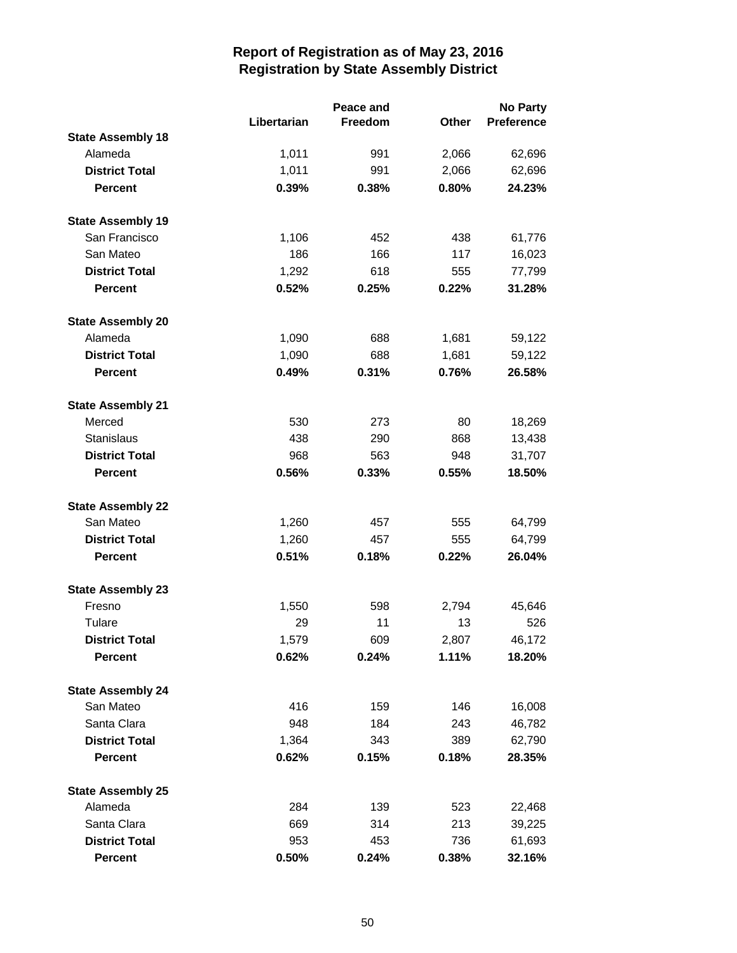|                          |             | Peace and |              | <b>No Party</b> |  |
|--------------------------|-------------|-----------|--------------|-----------------|--|
|                          | Libertarian | Freedom   | <b>Other</b> | Preference      |  |
| <b>State Assembly 18</b> |             |           |              |                 |  |
| Alameda                  | 1,011       | 991       | 2,066        | 62,696          |  |
| <b>District Total</b>    | 1,011       | 991       | 2,066        | 62,696          |  |
| <b>Percent</b>           | 0.39%       | 0.38%     | $0.80\%$     | 24.23%          |  |
| <b>State Assembly 19</b> |             |           |              |                 |  |
| San Francisco            | 1,106       | 452       | 438          | 61,776          |  |
| San Mateo                | 186         | 166       | 117          | 16,023          |  |
| <b>District Total</b>    | 1,292       | 618       | 555          | 77,799          |  |
| <b>Percent</b>           | 0.52%       | 0.25%     | 0.22%        | 31.28%          |  |
| <b>State Assembly 20</b> |             |           |              |                 |  |
| Alameda                  | 1,090       | 688       | 1,681        | 59,122          |  |
| <b>District Total</b>    | 1,090       | 688       | 1,681        | 59,122          |  |
| <b>Percent</b>           | 0.49%       | 0.31%     | 0.76%        | 26.58%          |  |
| <b>State Assembly 21</b> |             |           |              |                 |  |
| Merced                   | 530         | 273       | 80           | 18,269          |  |
| <b>Stanislaus</b>        | 438         | 290       | 868          | 13,438          |  |
| <b>District Total</b>    | 968         | 563       | 948          | 31,707          |  |
| <b>Percent</b>           | 0.56%       | 0.33%     | 0.55%        | 18.50%          |  |
| <b>State Assembly 22</b> |             |           |              |                 |  |
| San Mateo                | 1,260       | 457       | 555          | 64,799          |  |
| <b>District Total</b>    | 1,260       | 457       | 555          | 64,799          |  |
| <b>Percent</b>           | 0.51%       | 0.18%     | 0.22%        | 26.04%          |  |
| <b>State Assembly 23</b> |             |           |              |                 |  |
| Fresno                   | 1,550       | 598       | 2,794        | 45,646          |  |
| Tulare                   | 29          | 11        | 13           | 526             |  |
| <b>District Total</b>    | 1,579       | 609       | 2,807        | 46,172          |  |
| <b>Percent</b>           | 0.62%       | 0.24%     | 1.11%        | 18.20%          |  |
| <b>State Assembly 24</b> |             |           |              |                 |  |
| San Mateo                | 416         | 159       | 146          | 16,008          |  |
| Santa Clara              | 948         | 184       | 243          | 46,782          |  |
| <b>District Total</b>    | 1,364       | 343       | 389          | 62,790          |  |
| <b>Percent</b>           | 0.62%       | 0.15%     | 0.18%        | 28.35%          |  |
| <b>State Assembly 25</b> |             |           |              |                 |  |
| Alameda                  | 284         | 139       | 523          | 22,468          |  |
| Santa Clara              | 669         | 314       | 213          | 39,225          |  |
| <b>District Total</b>    | 953         | 453       | 736          | 61,693          |  |
| Percent                  | 0.50%       | 0.24%     | 0.38%        | 32.16%          |  |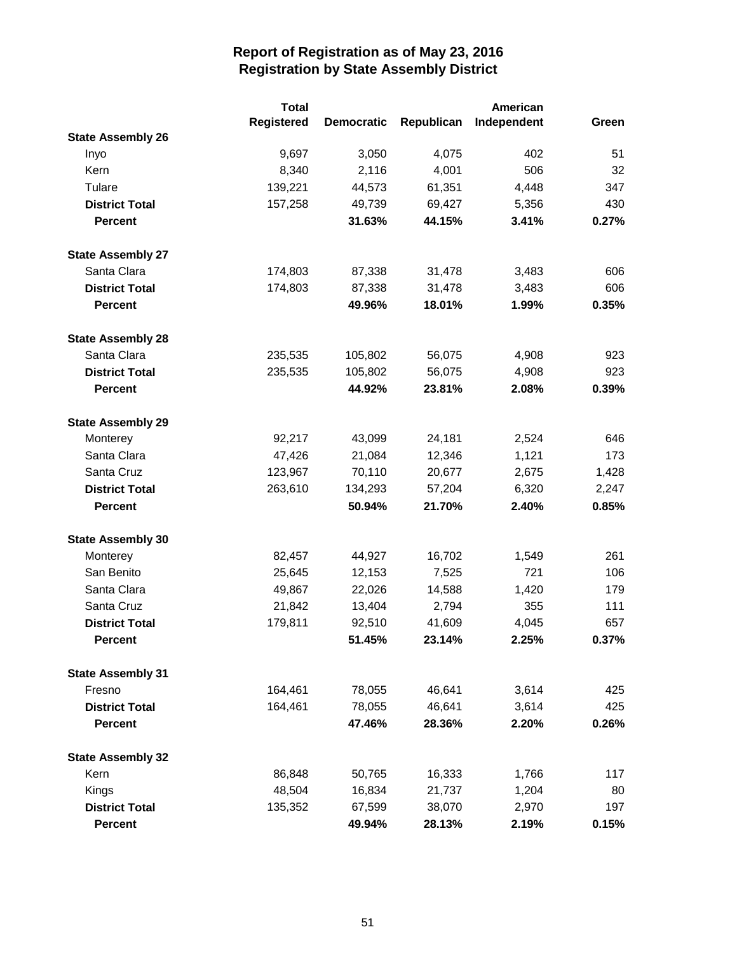|                          | <b>Total</b>      |                   |            | American    |       |
|--------------------------|-------------------|-------------------|------------|-------------|-------|
|                          | <b>Registered</b> | <b>Democratic</b> | Republican | Independent | Green |
| <b>State Assembly 26</b> |                   |                   |            |             |       |
| Inyo                     | 9,697             | 3,050             | 4,075      | 402         | 51    |
| Kern                     | 8,340             | 2,116             | 4,001      | 506         | 32    |
| Tulare                   | 139,221           | 44,573            | 61,351     | 4,448       | 347   |
| <b>District Total</b>    | 157,258           | 49,739            | 69,427     | 5,356       | 430   |
| <b>Percent</b>           |                   | 31.63%            | 44.15%     | 3.41%       | 0.27% |
| <b>State Assembly 27</b> |                   |                   |            |             |       |
| Santa Clara              | 174,803           | 87,338            | 31,478     | 3,483       | 606   |
| <b>District Total</b>    | 174,803           | 87,338            | 31,478     | 3,483       | 606   |
| <b>Percent</b>           |                   | 49.96%            | 18.01%     | 1.99%       | 0.35% |
| <b>State Assembly 28</b> |                   |                   |            |             |       |
| Santa Clara              | 235,535           | 105,802           | 56,075     | 4,908       | 923   |
| <b>District Total</b>    | 235,535           | 105,802           | 56,075     | 4,908       | 923   |
| <b>Percent</b>           |                   | 44.92%            | 23.81%     | 2.08%       | 0.39% |
| <b>State Assembly 29</b> |                   |                   |            |             |       |
| Monterey                 | 92,217            | 43,099            | 24,181     | 2,524       | 646   |
| Santa Clara              | 47,426            | 21,084            | 12,346     | 1,121       | 173   |
| Santa Cruz               | 123,967           | 70,110            | 20,677     | 2,675       | 1,428 |
| <b>District Total</b>    | 263,610           | 134,293           | 57,204     | 6,320       | 2,247 |
| <b>Percent</b>           |                   | 50.94%            | 21.70%     | 2.40%       | 0.85% |
| <b>State Assembly 30</b> |                   |                   |            |             |       |
| Monterey                 | 82,457            | 44,927            | 16,702     | 1,549       | 261   |
| San Benito               | 25,645            | 12,153            | 7,525      | 721         | 106   |
| Santa Clara              | 49,867            | 22,026            | 14,588     | 1,420       | 179   |
| Santa Cruz               | 21,842            | 13,404            | 2,794      | 355         | 111   |
| <b>District Total</b>    | 179,811           | 92,510            | 41,609     | 4,045       | 657   |
| <b>Percent</b>           |                   | 51.45%            | 23.14%     | 2.25%       | 0.37% |
| <b>State Assembly 31</b> |                   |                   |            |             |       |
| Fresno                   | 164,461           | 78,055            | 46,641     | 3,614       | 425   |
| <b>District Total</b>    | 164,461           | 78,055            | 46,641     | 3,614       | 425   |
| <b>Percent</b>           |                   | 47.46%            | 28.36%     | 2.20%       | 0.26% |
| <b>State Assembly 32</b> |                   |                   |            |             |       |
| Kern                     | 86,848            | 50,765            | 16,333     | 1,766       | 117   |
| Kings                    | 48,504            | 16,834            | 21,737     | 1,204       | 80    |
| <b>District Total</b>    | 135,352           | 67,599            | 38,070     | 2,970       | 197   |
| <b>Percent</b>           |                   | 49.94%            | 28.13%     | 2.19%       | 0.15% |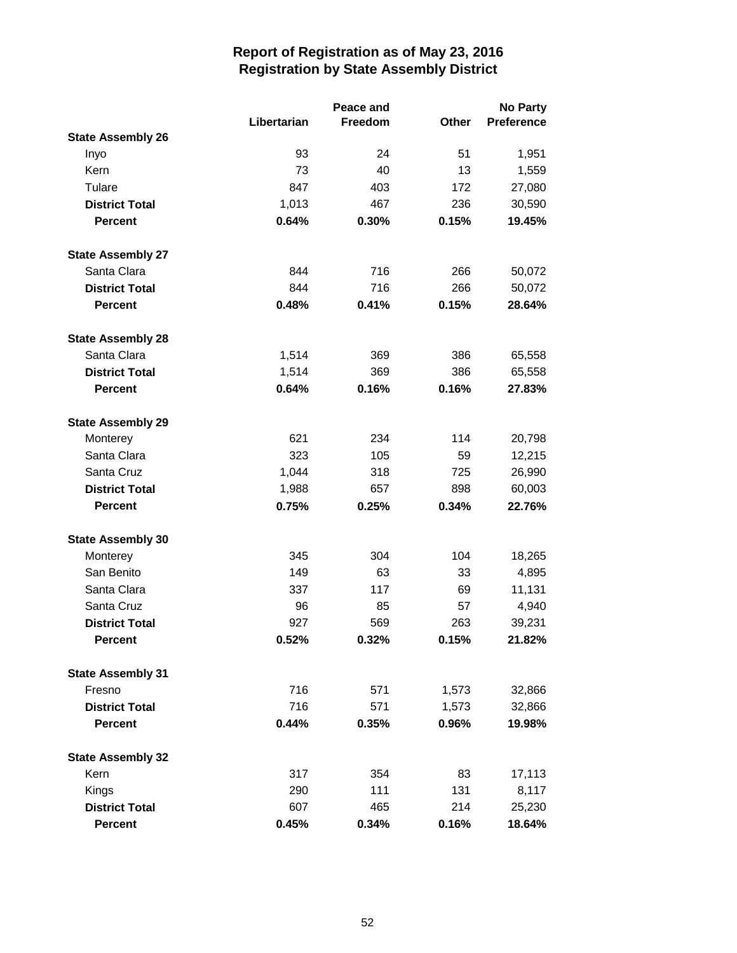|                          |             | Peace and | <b>No Party</b> |                   |  |
|--------------------------|-------------|-----------|-----------------|-------------------|--|
|                          | Libertarian | Freedom   | Other           | <b>Preference</b> |  |
| <b>State Assembly 26</b> |             |           |                 |                   |  |
| Inyo                     | 93          | 24        | 51              | 1,951             |  |
| Kern                     | 73          | 40        | 13              | 1,559             |  |
| Tulare                   | 847         | 403       | 172             | 27,080            |  |
| <b>District Total</b>    | 1,013       | 467       | 236             | 30,590            |  |
| <b>Percent</b>           | 0.64%       | 0.30%     | 0.15%           | 19.45%            |  |
| <b>State Assembly 27</b> |             |           |                 |                   |  |
| Santa Clara              | 844         | 716       | 266             | 50,072            |  |
| <b>District Total</b>    | 844         | 716       | 266             | 50,072            |  |
| <b>Percent</b>           | 0.48%       | 0.41%     | 0.15%           | 28.64%            |  |
| <b>State Assembly 28</b> |             |           |                 |                   |  |
| Santa Clara              | 1,514       | 369       | 386             | 65,558            |  |
| <b>District Total</b>    | 1,514       | 369       | 386             | 65,558            |  |
| <b>Percent</b>           | 0.64%       | 0.16%     | 0.16%           | 27.83%            |  |
| <b>State Assembly 29</b> |             |           |                 |                   |  |
| Monterey                 | 621         | 234       | 114             | 20,798            |  |
| Santa Clara              | 323         | 105       | 59              | 12,215            |  |
| Santa Cruz               | 1,044       | 318       | 725             | 26,990            |  |
| <b>District Total</b>    | 1,988       | 657       | 898             | 60,003            |  |
| <b>Percent</b>           | 0.75%       | 0.25%     | 0.34%           | 22.76%            |  |
| <b>State Assembly 30</b> |             |           |                 |                   |  |
| Monterey                 | 345         | 304       | 104             | 18,265            |  |
| San Benito               | 149         | 63        | 33              | 4,895             |  |
| Santa Clara              | 337         | 117       | 69              | 11,131            |  |
| Santa Cruz               | 96          | 85        | 57              | 4,940             |  |
| <b>District Total</b>    | 927         | 569       | 263             | 39,231            |  |
| <b>Percent</b>           | 0.52%       | 0.32%     | 0.15%           | 21.82%            |  |
| <b>State Assembly 31</b> |             |           |                 |                   |  |
| Fresno                   | 716         | 571       | 1,573           | 32,866            |  |
| <b>District Total</b>    | 716         | 571       | 1,573           | 32,866            |  |
| <b>Percent</b>           | 0.44%       | 0.35%     | 0.96%           | 19.98%            |  |
| <b>State Assembly 32</b> |             |           |                 |                   |  |
| Kern                     | 317         | 354       | 83              | 17,113            |  |
| Kings                    | 290         | 111       | 131             | 8,117             |  |
| <b>District Total</b>    | 607         | 465       | 214             | 25,230            |  |
| <b>Percent</b>           | 0.45%       | 0.34%     | 0.16%           | 18.64%            |  |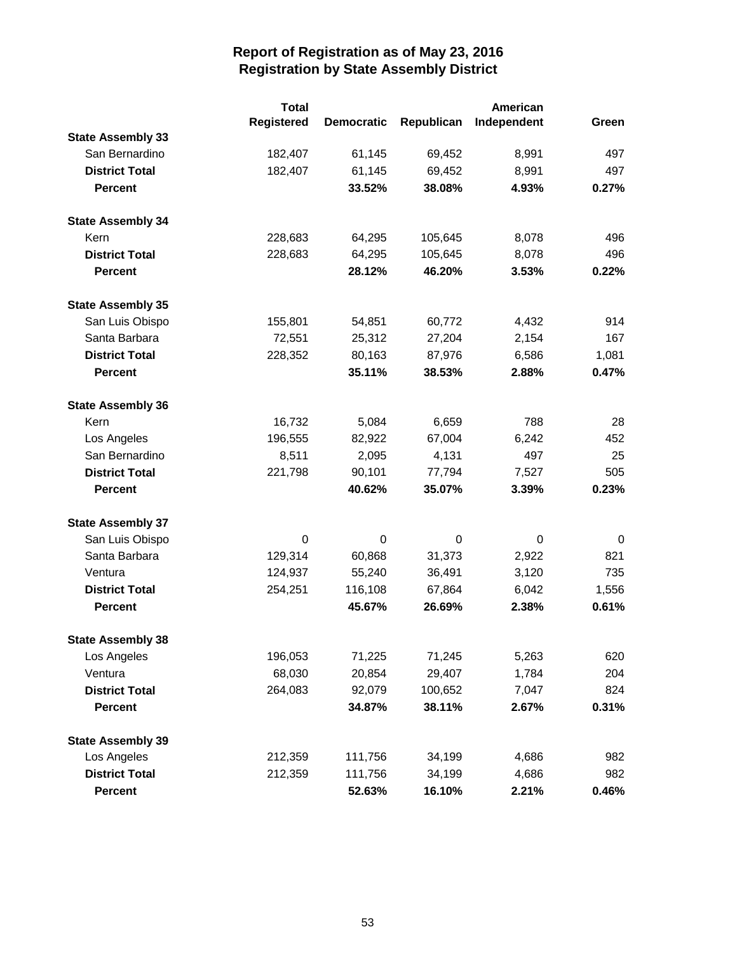|                          | <b>Total</b>      |                   |                  | American    |       |
|--------------------------|-------------------|-------------------|------------------|-------------|-------|
|                          | <b>Registered</b> | <b>Democratic</b> | Republican       | Independent | Green |
| <b>State Assembly 33</b> |                   |                   |                  |             |       |
| San Bernardino           | 182,407           | 61,145            | 69,452           | 8,991       | 497   |
| <b>District Total</b>    | 182,407           | 61,145            | 69,452           | 8,991       | 497   |
| <b>Percent</b>           |                   | 33.52%            | 38.08%           | 4.93%       | 0.27% |
| <b>State Assembly 34</b> |                   |                   |                  |             |       |
| Kern                     | 228,683           | 64,295            | 105,645          | 8,078       | 496   |
| <b>District Total</b>    | 228,683           | 64,295            | 105,645          | 8,078       | 496   |
| <b>Percent</b>           |                   | 28.12%            | 46.20%           | 3.53%       | 0.22% |
| <b>State Assembly 35</b> |                   |                   |                  |             |       |
| San Luis Obispo          | 155,801           | 54,851            | 60,772           | 4,432       | 914   |
| Santa Barbara            | 72,551            | 25,312            | 27,204           | 2,154       | 167   |
| <b>District Total</b>    | 228,352           | 80,163            | 87,976           | 6,586       | 1,081 |
| <b>Percent</b>           |                   | 35.11%            | 38.53%           | 2.88%       | 0.47% |
| <b>State Assembly 36</b> |                   |                   |                  |             |       |
| Kern                     | 16,732            | 5,084             | 6,659            | 788         | 28    |
| Los Angeles              | 196,555           | 82,922            | 67,004           | 6,242       | 452   |
| San Bernardino           | 8,511             | 2,095             | 4,131            | 497         | 25    |
| <b>District Total</b>    | 221,798           | 90,101            | 77,794           | 7,527       | 505   |
| <b>Percent</b>           |                   | 40.62%            | 35.07%           | 3.39%       | 0.23% |
| <b>State Assembly 37</b> |                   |                   |                  |             |       |
| San Luis Obispo          | 0                 | $\boldsymbol{0}$  | $\boldsymbol{0}$ | $\pmb{0}$   | 0     |
| Santa Barbara            | 129,314           | 60,868            | 31,373           | 2,922       | 821   |
| Ventura                  | 124,937           | 55,240            | 36,491           | 3,120       | 735   |
| <b>District Total</b>    | 254,251           | 116,108           | 67,864           | 6,042       | 1,556 |
| <b>Percent</b>           |                   | 45.67%            | 26.69%           | 2.38%       | 0.61% |
| <b>State Assembly 38</b> |                   |                   |                  |             |       |
| Los Angeles              | 196,053           | 71,225            | 71,245           | 5,263       | 620   |
| Ventura                  | 68,030            | 20,854            | 29,407           | 1,784       | 204   |
| <b>District Total</b>    | 264,083           | 92,079            | 100,652          | 7,047       | 824   |
| <b>Percent</b>           |                   | 34.87%            | 38.11%           | 2.67%       | 0.31% |
| <b>State Assembly 39</b> |                   |                   |                  |             |       |
| Los Angeles              | 212,359           | 111,756           | 34,199           | 4,686       | 982   |
| <b>District Total</b>    | 212,359           | 111,756           | 34,199           | 4,686       | 982   |
| <b>Percent</b>           |                   | 52.63%            | 16.10%           | 2.21%       | 0.46% |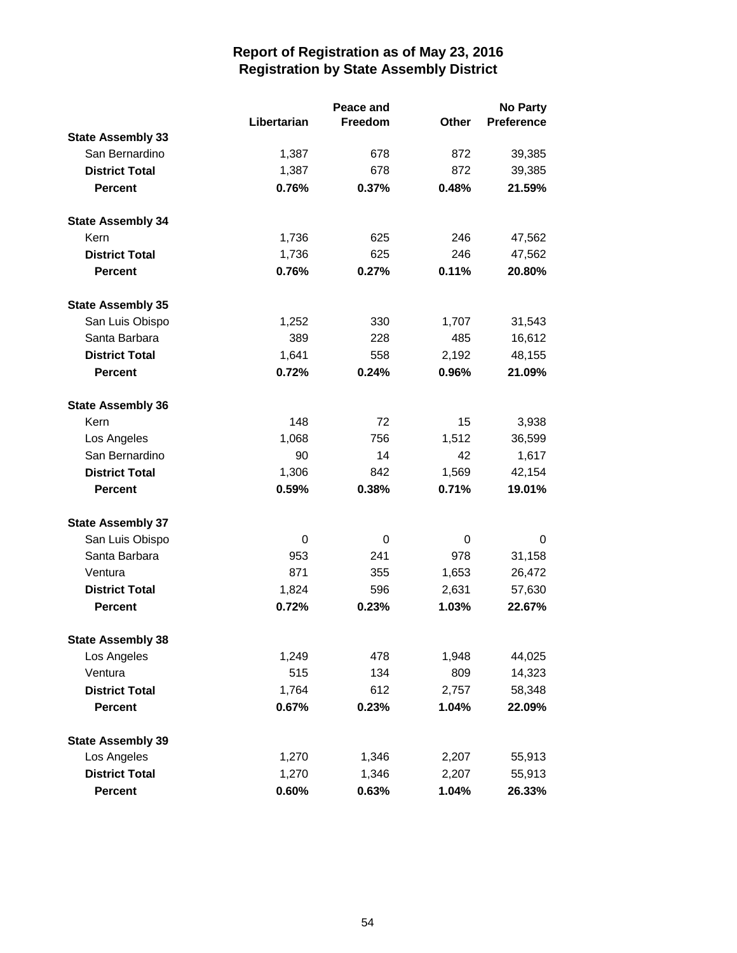|                          |             | Peace and        |              | <b>No Party</b>   |  |
|--------------------------|-------------|------------------|--------------|-------------------|--|
|                          | Libertarian | Freedom          | <b>Other</b> | <b>Preference</b> |  |
| <b>State Assembly 33</b> |             |                  |              |                   |  |
| San Bernardino           | 1,387       | 678              | 872          | 39,385            |  |
| <b>District Total</b>    | 1,387       | 678              | 872          | 39,385            |  |
| <b>Percent</b>           | 0.76%       | 0.37%            | 0.48%        | 21.59%            |  |
| <b>State Assembly 34</b> |             |                  |              |                   |  |
| Kern                     | 1,736       | 625              | 246          | 47,562            |  |
| <b>District Total</b>    | 1,736       | 625              | 246          | 47,562            |  |
| <b>Percent</b>           | 0.76%       | 0.27%            | 0.11%        | 20.80%            |  |
| <b>State Assembly 35</b> |             |                  |              |                   |  |
| San Luis Obispo          | 1,252       | 330              | 1,707        | 31,543            |  |
| Santa Barbara            | 389         | 228              | 485          | 16,612            |  |
| <b>District Total</b>    | 1,641       | 558              | 2,192        | 48,155            |  |
| <b>Percent</b>           | 0.72%       | 0.24%            | 0.96%        | 21.09%            |  |
| <b>State Assembly 36</b> |             |                  |              |                   |  |
| Kern                     | 148         | 72               | 15           | 3,938             |  |
| Los Angeles              | 1,068       | 756              | 1,512        | 36,599            |  |
| San Bernardino           | 90          | 14               | 42           | 1,617             |  |
| <b>District Total</b>    | 1,306       | 842              | 1,569        | 42,154            |  |
| <b>Percent</b>           | 0.59%       | 0.38%            | 0.71%        | 19.01%            |  |
| <b>State Assembly 37</b> |             |                  |              |                   |  |
| San Luis Obispo          | 0           | $\boldsymbol{0}$ | 0            | 0                 |  |
| Santa Barbara            | 953         | 241              | 978          | 31,158            |  |
| Ventura                  | 871         | 355              | 1,653        | 26,472            |  |
| <b>District Total</b>    | 1,824       | 596              | 2,631        | 57,630            |  |
| <b>Percent</b>           | 0.72%       | 0.23%            | 1.03%        | 22.67%            |  |
| <b>State Assembly 38</b> |             |                  |              |                   |  |
| Los Angeles              | 1,249       | 478              | 1,948        | 44,025            |  |
| Ventura                  | 515         | 134              | 809          | 14,323            |  |
| <b>District Total</b>    | 1,764       | 612              | 2,757        | 58,348            |  |
| <b>Percent</b>           | 0.67%       | 0.23%            | 1.04%        | 22.09%            |  |
| <b>State Assembly 39</b> |             |                  |              |                   |  |
| Los Angeles              | 1,270       | 1,346            | 2,207        | 55,913            |  |
| <b>District Total</b>    | 1,270       | 1,346            | 2,207        | 55,913            |  |
| Percent                  | 0.60%       | 0.63%            | 1.04%        | 26.33%            |  |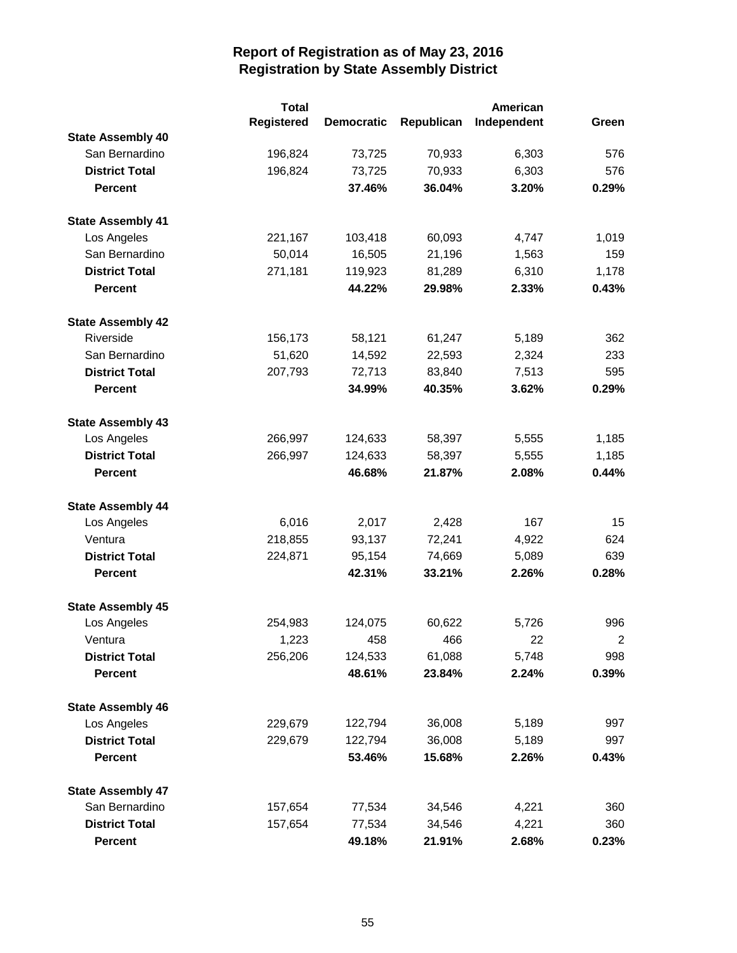|                          | <b>Total</b>      |                   |            | American    |                |
|--------------------------|-------------------|-------------------|------------|-------------|----------------|
|                          | <b>Registered</b> | <b>Democratic</b> | Republican | Independent | Green          |
| <b>State Assembly 40</b> |                   |                   |            |             |                |
| San Bernardino           | 196,824           | 73,725            | 70,933     | 6,303       | 576            |
| <b>District Total</b>    | 196,824           | 73,725            | 70,933     | 6,303       | 576            |
| <b>Percent</b>           |                   | 37.46%            | 36.04%     | 3.20%       | 0.29%          |
| <b>State Assembly 41</b> |                   |                   |            |             |                |
| Los Angeles              | 221,167           | 103,418           | 60,093     | 4,747       | 1,019          |
| San Bernardino           | 50,014            | 16,505            | 21,196     | 1,563       | 159            |
| <b>District Total</b>    | 271,181           | 119,923           | 81,289     | 6,310       | 1,178          |
| <b>Percent</b>           |                   | 44.22%            | 29.98%     | 2.33%       | 0.43%          |
| <b>State Assembly 42</b> |                   |                   |            |             |                |
| Riverside                | 156,173           | 58,121            | 61,247     | 5,189       | 362            |
| San Bernardino           | 51,620            | 14,592            | 22,593     | 2,324       | 233            |
| <b>District Total</b>    | 207,793           | 72,713            | 83,840     | 7,513       | 595            |
| <b>Percent</b>           |                   | 34.99%            | 40.35%     | 3.62%       | 0.29%          |
| <b>State Assembly 43</b> |                   |                   |            |             |                |
| Los Angeles              | 266,997           | 124,633           | 58,397     | 5,555       | 1,185          |
| <b>District Total</b>    | 266,997           | 124,633           | 58,397     | 5,555       | 1,185          |
| <b>Percent</b>           |                   | 46.68%            | 21.87%     | 2.08%       | 0.44%          |
| <b>State Assembly 44</b> |                   |                   |            |             |                |
| Los Angeles              | 6,016             | 2,017             | 2,428      | 167         | 15             |
| Ventura                  | 218,855           | 93,137            | 72,241     | 4,922       | 624            |
| <b>District Total</b>    | 224,871           | 95,154            | 74,669     | 5,089       | 639            |
| <b>Percent</b>           |                   | 42.31%            | 33.21%     | 2.26%       | 0.28%          |
| <b>State Assembly 45</b> |                   |                   |            |             |                |
| Los Angeles              | 254,983           | 124,075           | 60,622     | 5,726       | 996            |
| Ventura                  | 1,223             | 458               | 466        | 22          | $\overline{2}$ |
| <b>District Total</b>    | 256,206           | 124,533           | 61,088     | 5,748       | 998            |
| <b>Percent</b>           |                   | 48.61%            | 23.84%     | 2.24%       | 0.39%          |
| <b>State Assembly 46</b> |                   |                   |            |             |                |
| Los Angeles              | 229,679           | 122,794           | 36,008     | 5,189       | 997            |
| <b>District Total</b>    | 229,679           | 122,794           | 36,008     | 5,189       | 997            |
| <b>Percent</b>           |                   | 53.46%            | 15.68%     | 2.26%       | 0.43%          |
| <b>State Assembly 47</b> |                   |                   |            |             |                |
| San Bernardino           | 157,654           | 77,534            | 34,546     | 4,221       | 360            |
| <b>District Total</b>    | 157,654           | 77,534            | 34,546     | 4,221       | 360            |
| <b>Percent</b>           |                   | 49.18%            | 21.91%     | 2.68%       | 0.23%          |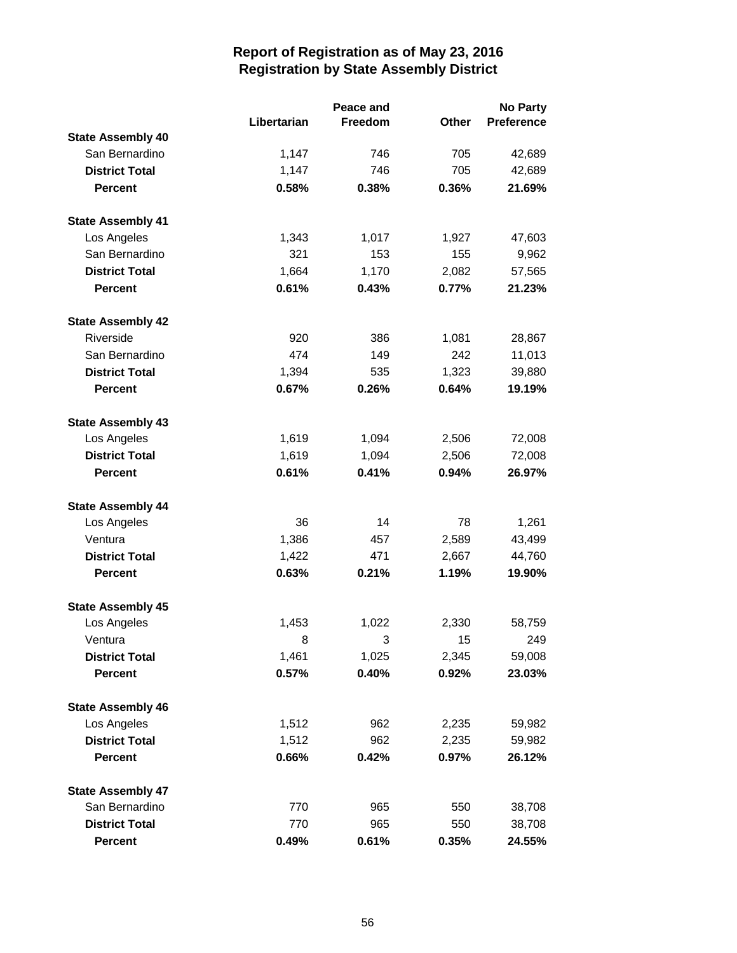|                          |             | Peace and |              | <b>No Party</b>   |  |
|--------------------------|-------------|-----------|--------------|-------------------|--|
|                          | Libertarian | Freedom   | <b>Other</b> | <b>Preference</b> |  |
| <b>State Assembly 40</b> |             |           |              |                   |  |
| San Bernardino           | 1,147       | 746       | 705          | 42,689            |  |
| <b>District Total</b>    | 1,147       | 746       | 705          | 42,689            |  |
| <b>Percent</b>           | 0.58%       | 0.38%     | 0.36%        | 21.69%            |  |
| <b>State Assembly 41</b> |             |           |              |                   |  |
| Los Angeles              | 1,343       | 1,017     | 1,927        | 47,603            |  |
| San Bernardino           | 321         | 153       | 155          | 9,962             |  |
| <b>District Total</b>    | 1,664       | 1,170     | 2,082        | 57,565            |  |
| <b>Percent</b>           | 0.61%       | 0.43%     | 0.77%        | 21.23%            |  |
| <b>State Assembly 42</b> |             |           |              |                   |  |
| Riverside                | 920         | 386       | 1,081        | 28,867            |  |
| San Bernardino           | 474         | 149       | 242          | 11,013            |  |
| <b>District Total</b>    | 1,394       | 535       | 1,323        | 39,880            |  |
| <b>Percent</b>           | 0.67%       | 0.26%     | 0.64%        | 19.19%            |  |
| <b>State Assembly 43</b> |             |           |              |                   |  |
| Los Angeles              | 1,619       | 1,094     | 2,506        | 72,008            |  |
| <b>District Total</b>    | 1,619       | 1,094     | 2,506        | 72,008            |  |
| <b>Percent</b>           | 0.61%       | 0.41%     | 0.94%        | 26.97%            |  |
| <b>State Assembly 44</b> |             |           |              |                   |  |
| Los Angeles              | 36          | 14        | 78           | 1,261             |  |
| Ventura                  | 1,386       | 457       | 2,589        | 43,499            |  |
| <b>District Total</b>    | 1,422       | 471       | 2,667        | 44,760            |  |
| <b>Percent</b>           | 0.63%       | 0.21%     | 1.19%        | 19.90%            |  |
| <b>State Assembly 45</b> |             |           |              |                   |  |
| Los Angeles              | 1,453       | 1,022     | 2,330        | 58,759            |  |
| Ventura                  | 8           | 3         | 15           | 249               |  |
| <b>District Total</b>    | 1,461       | 1,025     | 2,345        | 59,008            |  |
| <b>Percent</b>           | 0.57%       | 0.40%     | 0.92%        | 23.03%            |  |
| <b>State Assembly 46</b> |             |           |              |                   |  |
| Los Angeles              | 1,512       | 962       | 2,235        | 59,982            |  |
| <b>District Total</b>    | 1,512       | 962       | 2,235        | 59,982            |  |
| <b>Percent</b>           | 0.66%       | 0.42%     | 0.97%        | 26.12%            |  |
| <b>State Assembly 47</b> |             |           |              |                   |  |
| San Bernardino           | 770         | 965       | 550          | 38,708            |  |
| <b>District Total</b>    | 770         | 965       | 550          | 38,708            |  |
| Percent                  | 0.49%       | 0.61%     | 0.35%        | 24.55%            |  |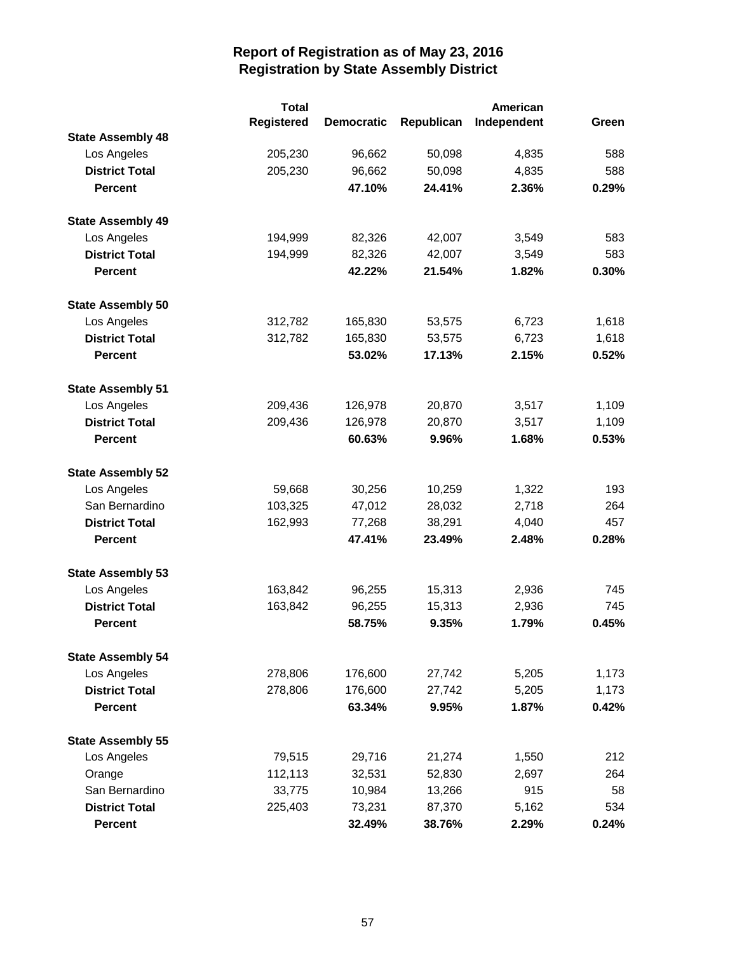|                          | <b>Total</b>      |                   | American   |             |       |
|--------------------------|-------------------|-------------------|------------|-------------|-------|
|                          | <b>Registered</b> | <b>Democratic</b> | Republican | Independent | Green |
| <b>State Assembly 48</b> |                   |                   |            |             |       |
| Los Angeles              | 205,230           | 96,662            | 50,098     | 4,835       | 588   |
| <b>District Total</b>    | 205,230           | 96,662            | 50,098     | 4,835       | 588   |
| <b>Percent</b>           |                   | 47.10%            | 24.41%     | 2.36%       | 0.29% |
| <b>State Assembly 49</b> |                   |                   |            |             |       |
| Los Angeles              | 194,999           | 82,326            | 42,007     | 3,549       | 583   |
| <b>District Total</b>    | 194,999           | 82,326            | 42,007     | 3,549       | 583   |
| <b>Percent</b>           |                   | 42.22%            | 21.54%     | 1.82%       | 0.30% |
| <b>State Assembly 50</b> |                   |                   |            |             |       |
| Los Angeles              | 312,782           | 165,830           | 53,575     | 6,723       | 1,618 |
| <b>District Total</b>    | 312,782           | 165,830           | 53,575     | 6,723       | 1,618 |
| <b>Percent</b>           |                   | 53.02%            | 17.13%     | 2.15%       | 0.52% |
| <b>State Assembly 51</b> |                   |                   |            |             |       |
| Los Angeles              | 209,436           | 126,978           | 20,870     | 3,517       | 1,109 |
| <b>District Total</b>    | 209,436           | 126,978           | 20,870     | 3,517       | 1,109 |
| <b>Percent</b>           |                   | 60.63%            | 9.96%      | 1.68%       | 0.53% |
| <b>State Assembly 52</b> |                   |                   |            |             |       |
| Los Angeles              | 59,668            | 30,256            | 10,259     | 1,322       | 193   |
| San Bernardino           | 103,325           | 47,012            | 28,032     | 2,718       | 264   |
| <b>District Total</b>    | 162,993           | 77,268            | 38,291     | 4,040       | 457   |
| <b>Percent</b>           |                   | 47.41%            | 23.49%     | 2.48%       | 0.28% |
| <b>State Assembly 53</b> |                   |                   |            |             |       |
| Los Angeles              | 163,842           | 96,255            | 15,313     | 2,936       | 745   |
| <b>District Total</b>    | 163,842           | 96,255            | 15,313     | 2,936       | 745   |
| <b>Percent</b>           |                   | 58.75%            | 9.35%      | 1.79%       | 0.45% |
| <b>State Assembly 54</b> |                   |                   |            |             |       |
| Los Angeles              | 278,806           | 176,600           | 27,742     | 5,205       | 1,173 |
| <b>District Total</b>    | 278,806           | 176,600           | 27,742     | 5,205       | 1,173 |
| <b>Percent</b>           |                   | 63.34%            | 9.95%      | 1.87%       | 0.42% |
| <b>State Assembly 55</b> |                   |                   |            |             |       |
| Los Angeles              | 79,515            | 29,716            | 21,274     | 1,550       | 212   |
| Orange                   | 112,113           | 32,531            | 52,830     | 2,697       | 264   |
| San Bernardino           | 33,775            | 10,984            | 13,266     | 915         | 58    |
| <b>District Total</b>    | 225,403           | 73,231            | 87,370     | 5,162       | 534   |
| <b>Percent</b>           |                   | 32.49%            | 38.76%     | 2.29%       | 0.24% |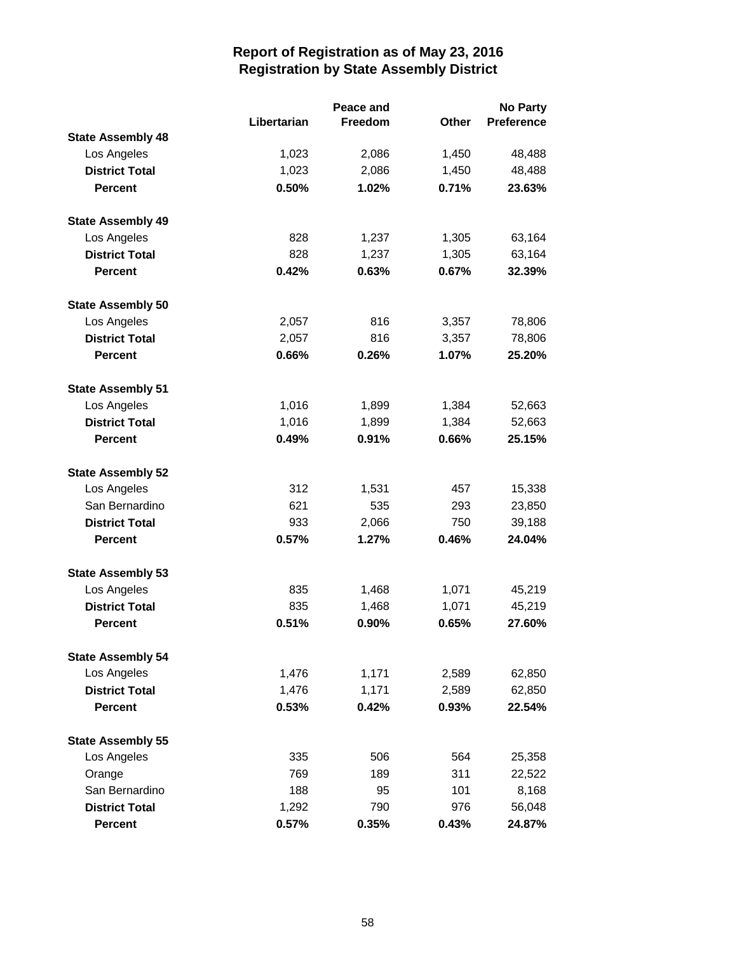|                          |             | Peace and |       | <b>No Party</b> |  |
|--------------------------|-------------|-----------|-------|-----------------|--|
|                          | Libertarian | Freedom   | Other | Preference      |  |
| <b>State Assembly 48</b> |             |           |       |                 |  |
| Los Angeles              | 1,023       | 2,086     | 1,450 | 48,488          |  |
| <b>District Total</b>    | 1,023       | 2,086     | 1,450 | 48,488          |  |
| <b>Percent</b>           | 0.50%       | 1.02%     | 0.71% | 23.63%          |  |
| <b>State Assembly 49</b> |             |           |       |                 |  |
| Los Angeles              | 828         | 1,237     | 1,305 | 63,164          |  |
| <b>District Total</b>    | 828         | 1,237     | 1,305 | 63,164          |  |
| <b>Percent</b>           | 0.42%       | 0.63%     | 0.67% | 32.39%          |  |
| <b>State Assembly 50</b> |             |           |       |                 |  |
| Los Angeles              | 2,057       | 816       | 3,357 | 78,806          |  |
| <b>District Total</b>    | 2,057       | 816       | 3,357 | 78,806          |  |
| <b>Percent</b>           | 0.66%       | 0.26%     | 1.07% | 25.20%          |  |
| <b>State Assembly 51</b> |             |           |       |                 |  |
| Los Angeles              | 1,016       | 1,899     | 1,384 | 52,663          |  |
| <b>District Total</b>    | 1,016       | 1,899     | 1,384 | 52,663          |  |
| <b>Percent</b>           | 0.49%       | 0.91%     | 0.66% | 25.15%          |  |
| <b>State Assembly 52</b> |             |           |       |                 |  |
| Los Angeles              | 312         | 1,531     | 457   | 15,338          |  |
| San Bernardino           | 621         | 535       | 293   | 23,850          |  |
| <b>District Total</b>    | 933         | 2,066     | 750   | 39,188          |  |
| <b>Percent</b>           | 0.57%       | 1.27%     | 0.46% | 24.04%          |  |
| <b>State Assembly 53</b> |             |           |       |                 |  |
| Los Angeles              | 835         | 1,468     | 1,071 | 45,219          |  |
| <b>District Total</b>    | 835         | 1,468     | 1,071 | 45,219          |  |
| <b>Percent</b>           | 0.51%       | 0.90%     | 0.65% | 27.60%          |  |
| <b>State Assembly 54</b> |             |           |       |                 |  |
| Los Angeles              | 1,476       | 1,171     | 2,589 | 62,850          |  |
| <b>District Total</b>    | 1,476       | 1,171     | 2,589 | 62,850          |  |
| <b>Percent</b>           | 0.53%       | 0.42%     | 0.93% | 22.54%          |  |
| <b>State Assembly 55</b> |             |           |       |                 |  |
| Los Angeles              | 335         | 506       | 564   | 25,358          |  |
| Orange                   | 769         | 189       | 311   | 22,522          |  |
| San Bernardino           | 188         | 95        | 101   | 8,168           |  |
| <b>District Total</b>    | 1,292       | 790       | 976   | 56,048          |  |
| <b>Percent</b>           | 0.57%       | 0.35%     | 0.43% | 24.87%          |  |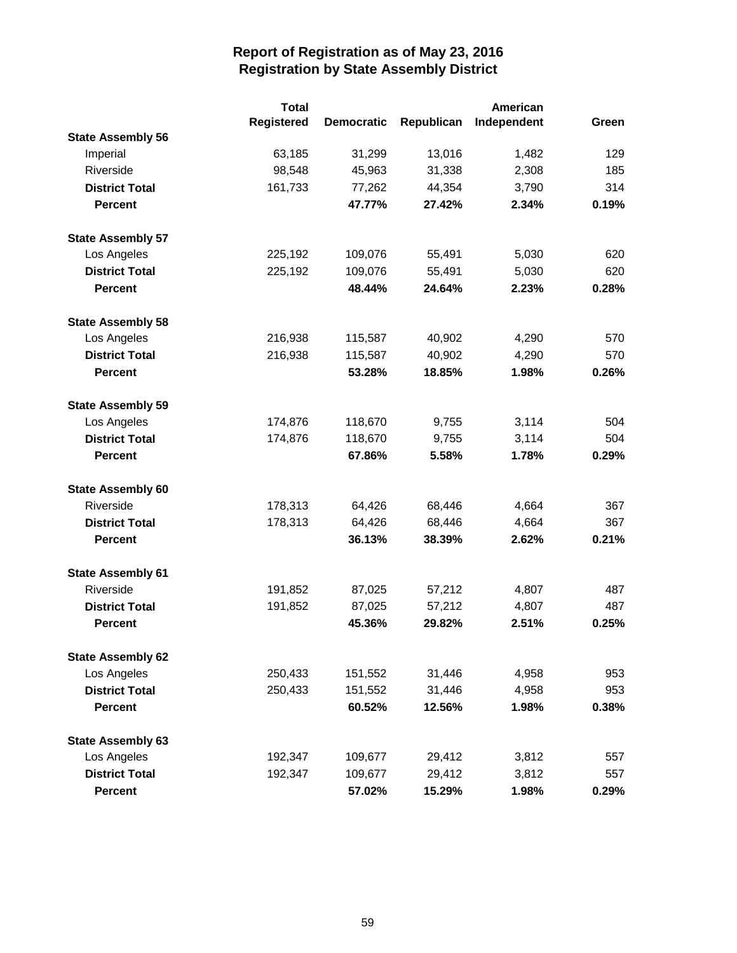|                          | <b>Total</b>      |                   |            | American    |       |
|--------------------------|-------------------|-------------------|------------|-------------|-------|
|                          | <b>Registered</b> | <b>Democratic</b> | Republican | Independent | Green |
| <b>State Assembly 56</b> |                   |                   |            |             |       |
| Imperial                 | 63,185            | 31,299            | 13,016     | 1,482       | 129   |
| Riverside                | 98,548            | 45,963            | 31,338     | 2,308       | 185   |
| <b>District Total</b>    | 161,733           | 77,262            | 44,354     | 3,790       | 314   |
| <b>Percent</b>           |                   | 47.77%            | 27.42%     | 2.34%       | 0.19% |
| <b>State Assembly 57</b> |                   |                   |            |             |       |
| Los Angeles              | 225,192           | 109,076           | 55,491     | 5,030       | 620   |
| <b>District Total</b>    | 225,192           | 109,076           | 55,491     | 5,030       | 620   |
| <b>Percent</b>           |                   | 48.44%            | 24.64%     | 2.23%       | 0.28% |
| <b>State Assembly 58</b> |                   |                   |            |             |       |
| Los Angeles              | 216,938           | 115,587           | 40,902     | 4,290       | 570   |
| <b>District Total</b>    | 216,938           | 115,587           | 40,902     | 4,290       | 570   |
| <b>Percent</b>           |                   | 53.28%            | 18.85%     | 1.98%       | 0.26% |
| <b>State Assembly 59</b> |                   |                   |            |             |       |
| Los Angeles              | 174,876           | 118,670           | 9,755      | 3,114       | 504   |
| <b>District Total</b>    | 174,876           | 118,670           | 9,755      | 3,114       | 504   |
| <b>Percent</b>           |                   | 67.86%            | 5.58%      | 1.78%       | 0.29% |
| <b>State Assembly 60</b> |                   |                   |            |             |       |
| Riverside                | 178,313           | 64,426            | 68,446     | 4,664       | 367   |
| <b>District Total</b>    | 178,313           | 64,426            | 68,446     | 4,664       | 367   |
| <b>Percent</b>           |                   | 36.13%            | 38.39%     | 2.62%       | 0.21% |
| <b>State Assembly 61</b> |                   |                   |            |             |       |
| Riverside                | 191,852           | 87,025            | 57,212     | 4,807       | 487   |
| <b>District Total</b>    | 191,852           | 87,025            | 57,212     | 4,807       | 487   |
| <b>Percent</b>           |                   | 45.36%            | 29.82%     | 2.51%       | 0.25% |
| <b>State Assembly 62</b> |                   |                   |            |             |       |
| Los Angeles              | 250,433           | 151,552           | 31,446     | 4,958       | 953   |
| <b>District Total</b>    | 250,433           | 151,552           | 31,446     | 4,958       | 953   |
| <b>Percent</b>           |                   | 60.52%            | 12.56%     | 1.98%       | 0.38% |
| <b>State Assembly 63</b> |                   |                   |            |             |       |
| Los Angeles              | 192,347           | 109,677           | 29,412     | 3,812       | 557   |
| <b>District Total</b>    | 192,347           | 109,677           | 29,412     | 3,812       | 557   |
| <b>Percent</b>           |                   | 57.02%            | 15.29%     | 1.98%       | 0.29% |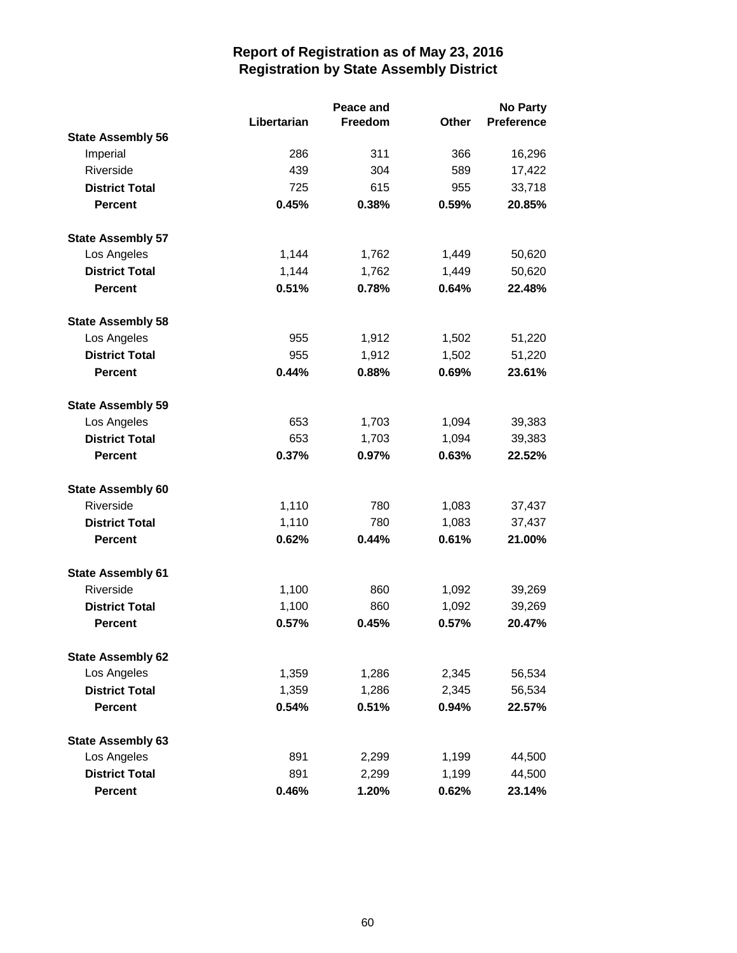|                          |             | Peace and |       | <b>No Party</b> |  |
|--------------------------|-------------|-----------|-------|-----------------|--|
|                          | Libertarian | Freedom   | Other | Preference      |  |
| <b>State Assembly 56</b> |             |           |       |                 |  |
| Imperial                 | 286         | 311       | 366   | 16,296          |  |
| Riverside                | 439         | 304       | 589   | 17,422          |  |
| <b>District Total</b>    | 725         | 615       | 955   | 33,718          |  |
| <b>Percent</b>           | 0.45%       | 0.38%     | 0.59% | 20.85%          |  |
| <b>State Assembly 57</b> |             |           |       |                 |  |
| Los Angeles              | 1,144       | 1,762     | 1,449 | 50,620          |  |
| <b>District Total</b>    | 1,144       | 1,762     | 1,449 | 50,620          |  |
| <b>Percent</b>           | 0.51%       | 0.78%     | 0.64% | 22.48%          |  |
| <b>State Assembly 58</b> |             |           |       |                 |  |
| Los Angeles              | 955         | 1,912     | 1,502 | 51,220          |  |
| <b>District Total</b>    | 955         | 1,912     | 1,502 | 51,220          |  |
| <b>Percent</b>           | 0.44%       | 0.88%     | 0.69% | 23.61%          |  |
| <b>State Assembly 59</b> |             |           |       |                 |  |
| Los Angeles              | 653         | 1,703     | 1,094 | 39,383          |  |
| <b>District Total</b>    | 653         | 1,703     | 1,094 | 39,383          |  |
| <b>Percent</b>           | 0.37%       | 0.97%     | 0.63% | 22.52%          |  |
| <b>State Assembly 60</b> |             |           |       |                 |  |
| Riverside                | 1,110       | 780       | 1,083 | 37,437          |  |
| <b>District Total</b>    | 1,110       | 780       | 1,083 | 37,437          |  |
| <b>Percent</b>           | 0.62%       | 0.44%     | 0.61% | 21.00%          |  |
| <b>State Assembly 61</b> |             |           |       |                 |  |
| Riverside                | 1,100       | 860       | 1,092 | 39,269          |  |
| <b>District Total</b>    | 1,100       | 860       | 1,092 | 39,269          |  |
| <b>Percent</b>           | 0.57%       | 0.45%     | 0.57% | 20.47%          |  |
| <b>State Assembly 62</b> |             |           |       |                 |  |
| Los Angeles              | 1,359       | 1,286     | 2,345 | 56,534          |  |
| <b>District Total</b>    | 1,359       | 1,286     | 2,345 | 56,534          |  |
| <b>Percent</b>           | 0.54%       | 0.51%     | 0.94% | 22.57%          |  |
| <b>State Assembly 63</b> |             |           |       |                 |  |
| Los Angeles              | 891         | 2,299     | 1,199 | 44,500          |  |
| <b>District Total</b>    | 891         | 2,299     | 1,199 | 44,500          |  |
| <b>Percent</b>           | 0.46%       | 1.20%     | 0.62% | 23.14%          |  |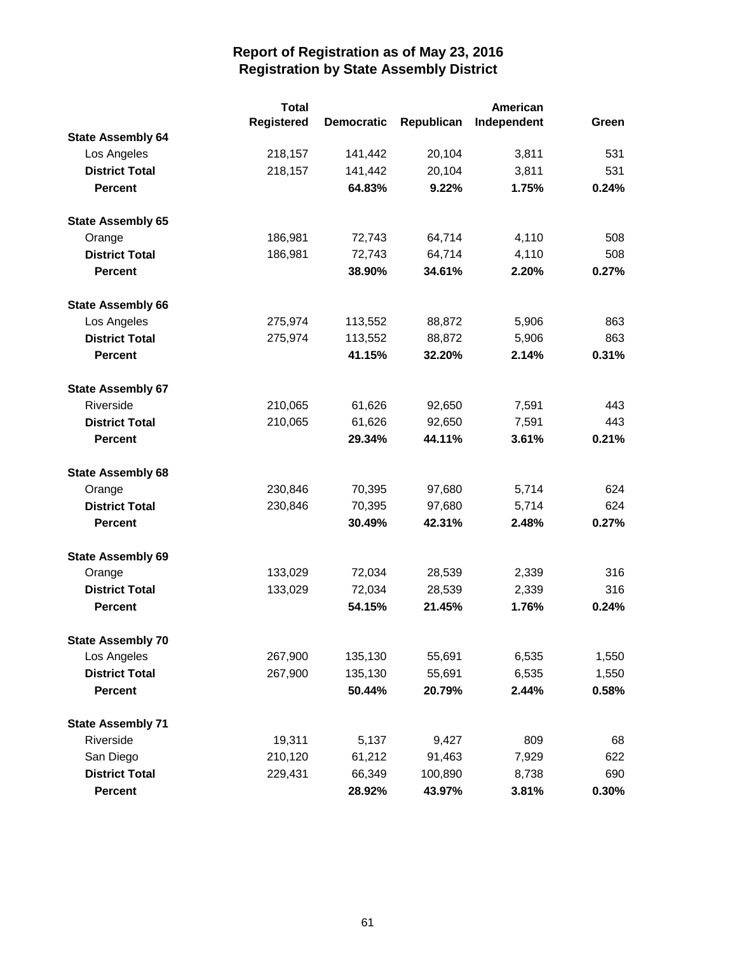|                          | <b>Total</b>      |                   |            | American    |       |
|--------------------------|-------------------|-------------------|------------|-------------|-------|
|                          | <b>Registered</b> | <b>Democratic</b> | Republican | Independent | Green |
| <b>State Assembly 64</b> |                   |                   |            |             |       |
| Los Angeles              | 218,157           | 141,442           | 20,104     | 3,811       | 531   |
| <b>District Total</b>    | 218,157           | 141,442           | 20,104     | 3,811       | 531   |
| <b>Percent</b>           |                   | 64.83%            | 9.22%      | 1.75%       | 0.24% |
| <b>State Assembly 65</b> |                   |                   |            |             |       |
| Orange                   | 186,981           | 72,743            | 64,714     | 4,110       | 508   |
| <b>District Total</b>    | 186,981           | 72,743            | 64,714     | 4,110       | 508   |
| <b>Percent</b>           |                   | 38.90%            | 34.61%     | 2.20%       | 0.27% |
| <b>State Assembly 66</b> |                   |                   |            |             |       |
| Los Angeles              | 275,974           | 113,552           | 88,872     | 5,906       | 863   |
| <b>District Total</b>    | 275,974           | 113,552           | 88,872     | 5,906       | 863   |
| <b>Percent</b>           |                   | 41.15%            | 32.20%     | 2.14%       | 0.31% |
| <b>State Assembly 67</b> |                   |                   |            |             |       |
| Riverside                | 210,065           | 61,626            | 92,650     | 7,591       | 443   |
| <b>District Total</b>    | 210,065           | 61,626            | 92,650     | 7,591       | 443   |
| <b>Percent</b>           |                   | 29.34%            | 44.11%     | 3.61%       | 0.21% |
| <b>State Assembly 68</b> |                   |                   |            |             |       |
| Orange                   | 230,846           | 70,395            | 97,680     | 5,714       | 624   |
| <b>District Total</b>    | 230,846           | 70,395            | 97,680     | 5,714       | 624   |
| <b>Percent</b>           |                   | 30.49%            | 42.31%     | 2.48%       | 0.27% |
| <b>State Assembly 69</b> |                   |                   |            |             |       |
| Orange                   | 133,029           | 72,034            | 28,539     | 2,339       | 316   |
| <b>District Total</b>    | 133,029           | 72,034            | 28,539     | 2,339       | 316   |
| <b>Percent</b>           |                   | 54.15%            | 21.45%     | 1.76%       | 0.24% |
| <b>State Assembly 70</b> |                   |                   |            |             |       |
| Los Angeles              | 267,900           | 135,130           | 55,691     | 6,535       | 1,550 |
| <b>District Total</b>    | 267,900           | 135,130           | 55,691     | 6,535       | 1,550 |
| <b>Percent</b>           |                   | 50.44%            | 20.79%     | 2.44%       | 0.58% |
| <b>State Assembly 71</b> |                   |                   |            |             |       |
| Riverside                | 19,311            | 5,137             | 9,427      | 809         | 68    |
| San Diego                | 210,120           | 61,212            | 91,463     | 7,929       | 622   |
| <b>District Total</b>    | 229,431           | 66,349            | 100,890    | 8,738       | 690   |
| <b>Percent</b>           |                   | 28.92%            | 43.97%     | 3.81%       | 0.30% |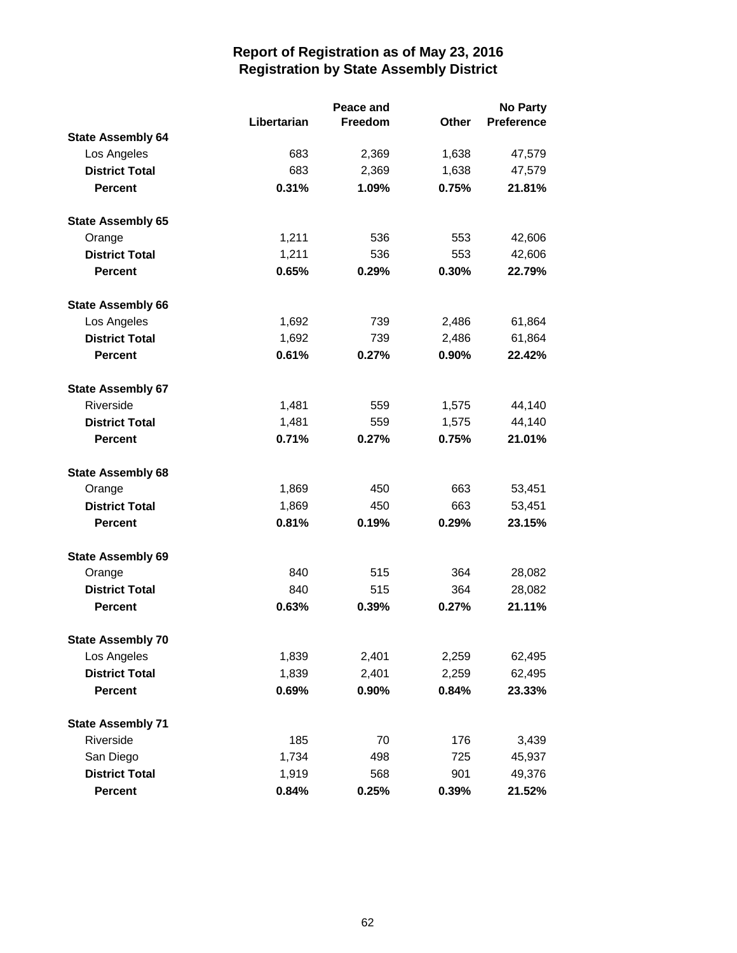|                          |             | Peace and |              | <b>No Party</b> |  |
|--------------------------|-------------|-----------|--------------|-----------------|--|
|                          | Libertarian | Freedom   | <b>Other</b> | Preference      |  |
| <b>State Assembly 64</b> |             |           |              |                 |  |
| Los Angeles              | 683         | 2,369     | 1,638        | 47,579          |  |
| <b>District Total</b>    | 683         | 2,369     | 1,638        | 47,579          |  |
| <b>Percent</b>           | 0.31%       | 1.09%     | 0.75%        | 21.81%          |  |
| <b>State Assembly 65</b> |             |           |              |                 |  |
| Orange                   | 1,211       | 536       | 553          | 42,606          |  |
| <b>District Total</b>    | 1,211       | 536       | 553          | 42,606          |  |
| <b>Percent</b>           | 0.65%       | 0.29%     | 0.30%        | 22.79%          |  |
| <b>State Assembly 66</b> |             |           |              |                 |  |
| Los Angeles              | 1,692       | 739       | 2,486        | 61,864          |  |
| <b>District Total</b>    | 1,692       | 739       | 2,486        | 61,864          |  |
| <b>Percent</b>           | 0.61%       | 0.27%     | 0.90%        | 22.42%          |  |
| <b>State Assembly 67</b> |             |           |              |                 |  |
| Riverside                | 1,481       | 559       | 1,575        | 44,140          |  |
| <b>District Total</b>    | 1,481       | 559       | 1,575        | 44,140          |  |
| <b>Percent</b>           | 0.71%       | 0.27%     | 0.75%        | 21.01%          |  |
| <b>State Assembly 68</b> |             |           |              |                 |  |
| Orange                   | 1,869       | 450       | 663          | 53,451          |  |
| <b>District Total</b>    | 1,869       | 450       | 663          | 53,451          |  |
| <b>Percent</b>           | 0.81%       | 0.19%     | 0.29%        | 23.15%          |  |
| <b>State Assembly 69</b> |             |           |              |                 |  |
| Orange                   | 840         | 515       | 364          | 28,082          |  |
| <b>District Total</b>    | 840         | 515       | 364          | 28,082          |  |
| <b>Percent</b>           | 0.63%       | 0.39%     | 0.27%        | 21.11%          |  |
| <b>State Assembly 70</b> |             |           |              |                 |  |
| Los Angeles              | 1,839       | 2,401     | 2,259        | 62,495          |  |
| <b>District Total</b>    | 1,839       | 2,401     | 2,259        | 62,495          |  |
| <b>Percent</b>           | 0.69%       | 0.90%     | 0.84%        | 23.33%          |  |
| <b>State Assembly 71</b> |             |           |              |                 |  |
| Riverside                | 185         | 70        | 176          | 3,439           |  |
| San Diego                | 1,734       | 498       | 725          | 45,937          |  |
| <b>District Total</b>    | 1,919       | 568       | 901          | 49,376          |  |
| <b>Percent</b>           | 0.84%       | 0.25%     | 0.39%        | 21.52%          |  |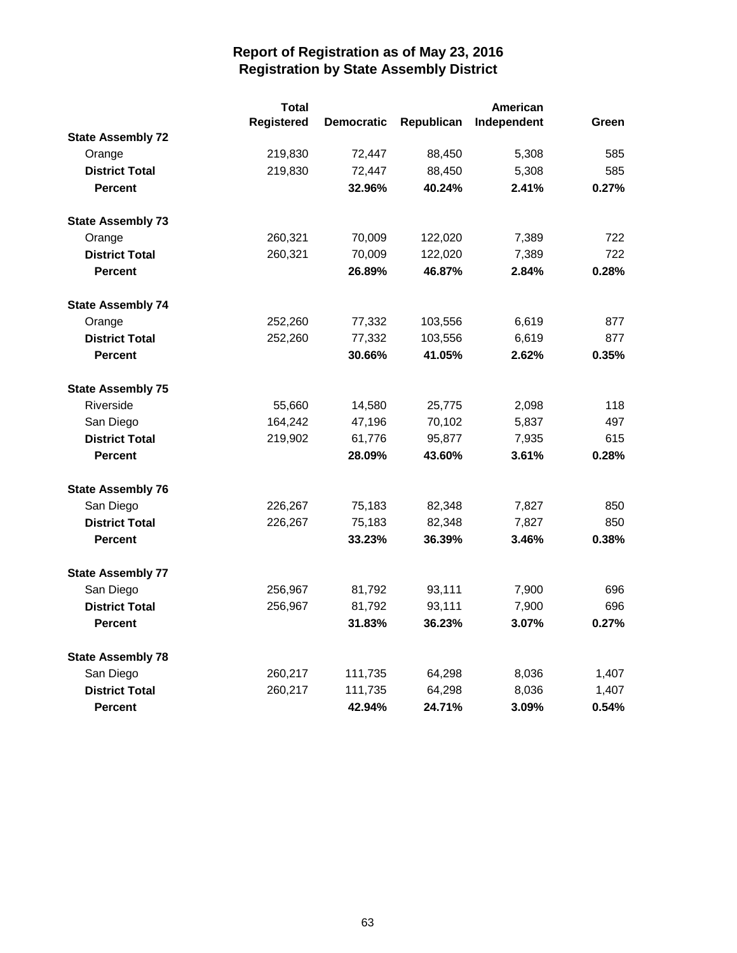|                          | <b>Total</b>      |                   |            | American    |       |
|--------------------------|-------------------|-------------------|------------|-------------|-------|
|                          | <b>Registered</b> | <b>Democratic</b> | Republican | Independent | Green |
| <b>State Assembly 72</b> |                   |                   |            |             |       |
| Orange                   | 219,830           | 72,447            | 88,450     | 5,308       | 585   |
| <b>District Total</b>    | 219,830           | 72,447            | 88,450     | 5,308       | 585   |
| <b>Percent</b>           |                   | 32.96%            | 40.24%     | 2.41%       | 0.27% |
| <b>State Assembly 73</b> |                   |                   |            |             |       |
| Orange                   | 260,321           | 70,009            | 122,020    | 7,389       | 722   |
| <b>District Total</b>    | 260,321           | 70,009            | 122,020    | 7,389       | 722   |
| <b>Percent</b>           |                   | 26.89%            | 46.87%     | 2.84%       | 0.28% |
| <b>State Assembly 74</b> |                   |                   |            |             |       |
| Orange                   | 252,260           | 77,332            | 103,556    | 6,619       | 877   |
| <b>District Total</b>    | 252,260           | 77,332            | 103,556    | 6,619       | 877   |
| <b>Percent</b>           |                   | 30.66%            | 41.05%     | 2.62%       | 0.35% |
| <b>State Assembly 75</b> |                   |                   |            |             |       |
| Riverside                | 55,660            | 14,580            | 25,775     | 2,098       | 118   |
| San Diego                | 164,242           | 47,196            | 70,102     | 5,837       | 497   |
| <b>District Total</b>    | 219,902           | 61,776            | 95,877     | 7,935       | 615   |
| <b>Percent</b>           |                   | 28.09%            | 43.60%     | 3.61%       | 0.28% |
| <b>State Assembly 76</b> |                   |                   |            |             |       |
| San Diego                | 226,267           | 75,183            | 82,348     | 7,827       | 850   |
| <b>District Total</b>    | 226,267           | 75,183            | 82,348     | 7,827       | 850   |
| <b>Percent</b>           |                   | 33.23%            | 36.39%     | 3.46%       | 0.38% |
| <b>State Assembly 77</b> |                   |                   |            |             |       |
| San Diego                | 256,967           | 81,792            | 93,111     | 7,900       | 696   |
| <b>District Total</b>    | 256,967           | 81,792            | 93,111     | 7,900       | 696   |
| <b>Percent</b>           |                   | 31.83%            | 36.23%     | 3.07%       | 0.27% |
| <b>State Assembly 78</b> |                   |                   |            |             |       |
| San Diego                | 260,217           | 111,735           | 64,298     | 8,036       | 1,407 |
| <b>District Total</b>    | 260,217           | 111,735           | 64,298     | 8,036       | 1,407 |
| <b>Percent</b>           |                   | 42.94%            | 24.71%     | 3.09%       | 0.54% |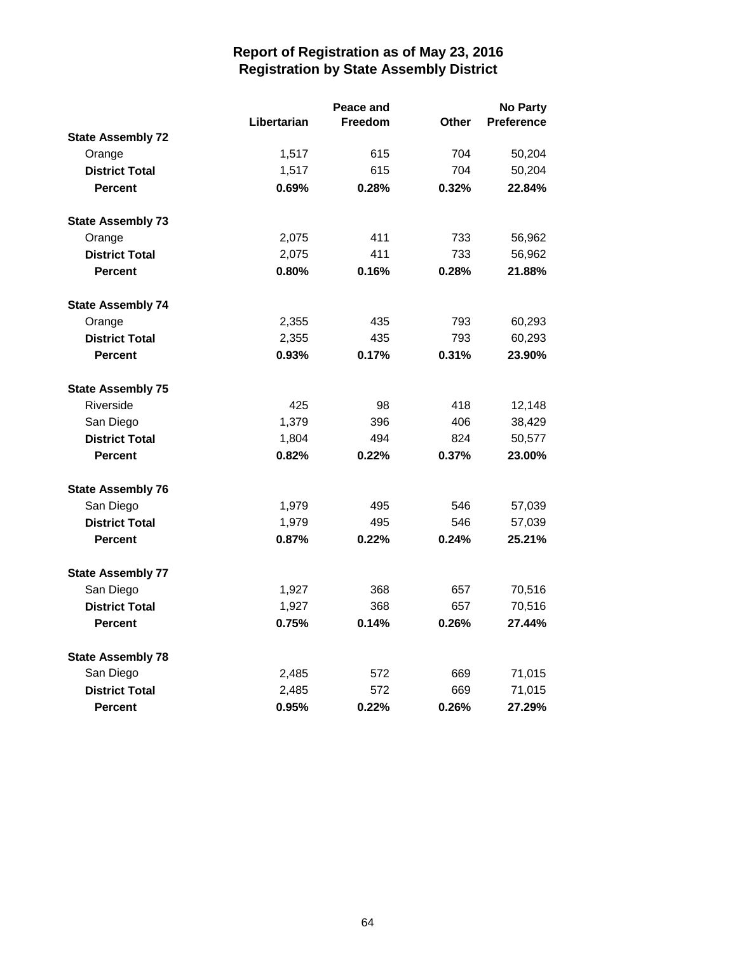|                          |             | <b>No Party</b> |              |                   |
|--------------------------|-------------|-----------------|--------------|-------------------|
|                          | Libertarian | Freedom         | <b>Other</b> | <b>Preference</b> |
| <b>State Assembly 72</b> |             |                 |              |                   |
| Orange                   | 1,517       | 615             | 704          | 50,204            |
| <b>District Total</b>    | 1,517       | 615             | 704          | 50,204            |
| <b>Percent</b>           | 0.69%       | 0.28%           | 0.32%        | 22.84%            |
| <b>State Assembly 73</b> |             |                 |              |                   |
| Orange                   | 2,075       | 411             | 733          | 56,962            |
| <b>District Total</b>    | 2,075       | 411             | 733          | 56,962            |
| <b>Percent</b>           | 0.80%       | 0.16%           | 0.28%        | 21.88%            |
| <b>State Assembly 74</b> |             |                 |              |                   |
| Orange                   | 2,355       | 435             | 793          | 60,293            |
| <b>District Total</b>    | 2,355       | 435             | 793          | 60,293            |
| <b>Percent</b>           | 0.93%       | 0.17%           | 0.31%        | 23.90%            |
| <b>State Assembly 75</b> |             |                 |              |                   |
| Riverside                | 425         | 98              | 418          | 12,148            |
| San Diego                | 1,379       | 396             | 406          | 38,429            |
| <b>District Total</b>    | 1,804       | 494             | 824          | 50,577            |
| <b>Percent</b>           | 0.82%       | 0.22%           | 0.37%        | 23.00%            |
| <b>State Assembly 76</b> |             |                 |              |                   |
| San Diego                | 1,979       | 495             | 546          | 57,039            |
| <b>District Total</b>    | 1,979       | 495             | 546          | 57,039            |
| <b>Percent</b>           | 0.87%       | 0.22%           | 0.24%        | 25.21%            |
| <b>State Assembly 77</b> |             |                 |              |                   |
| San Diego                | 1,927       | 368             | 657          | 70,516            |
| <b>District Total</b>    | 1,927       | 368             | 657          | 70,516            |
| <b>Percent</b>           | 0.75%       | 0.14%           | 0.26%        | 27.44%            |
| <b>State Assembly 78</b> |             |                 |              |                   |
| San Diego                | 2,485       | 572             | 669          | 71,015            |
| <b>District Total</b>    | 2,485       | 572             | 669          | 71,015            |
| <b>Percent</b>           | 0.95%       | 0.22%           | 0.26%        | 27.29%            |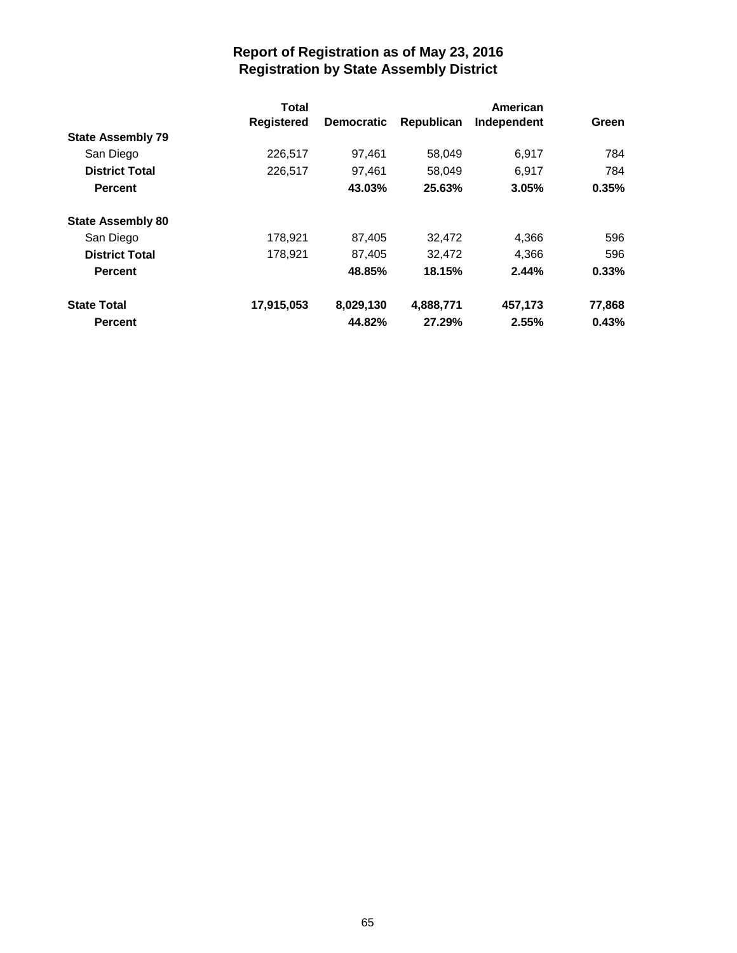|                          | Total             |                   |            | American    |        |
|--------------------------|-------------------|-------------------|------------|-------------|--------|
|                          | <b>Registered</b> | <b>Democratic</b> | Republican | Independent | Green  |
| <b>State Assembly 79</b> |                   |                   |            |             |        |
| San Diego                | 226,517           | 97,461            | 58,049     | 6,917       | 784    |
| <b>District Total</b>    | 226,517           | 97,461            | 58,049     | 6,917       | 784    |
| <b>Percent</b>           |                   | 43.03%            | 25.63%     | 3.05%       | 0.35%  |
| <b>State Assembly 80</b> |                   |                   |            |             |        |
| San Diego                | 178,921           | 87,405            | 32,472     | 4,366       | 596    |
| <b>District Total</b>    | 178,921           | 87,405            | 32,472     | 4,366       | 596    |
| <b>Percent</b>           |                   | 48.85%            | 18.15%     | 2.44%       | 0.33%  |
| <b>State Total</b>       | 17,915,053        | 8,029,130         | 4,888,771  | 457,173     | 77,868 |
| <b>Percent</b>           |                   | 44.82%            | 27.29%     | 2.55%       | 0.43%  |